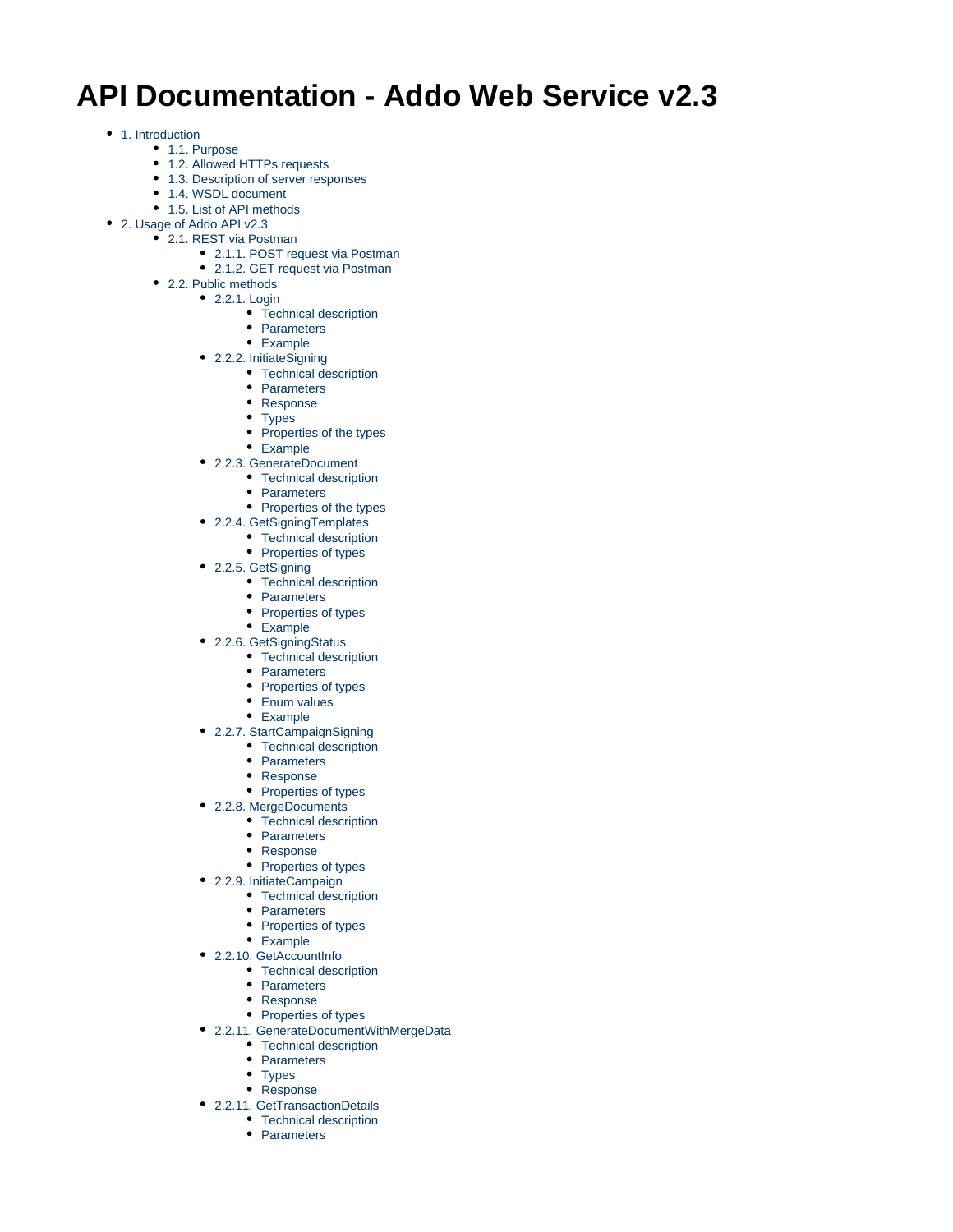# **API Documentation - Addo Web Service v2.3**

- [1. Introduction](#page-1-0)
	- [1.1. Purpose](#page-1-1)
	- [1.2. Allowed HTTPs requests](#page-1-2)
	- [1.3. Description of server responses](#page-1-3)
	- [1.4. WSDL document](#page-1-4)
	- [1.5. List of API methods](#page-2-0)
- [2. Usage of Addo API v2.3](#page-2-1)
	- [2.1. REST via Postman](#page-2-2)
		- [2.1.1. POST request via Postman](#page-2-3)
		- [2.1.2. GET request via Postman](#page-3-0)
	- [2.2. Public methods](#page-3-1) [2.2.1. Login](#page-4-0)
		- [Technical description](#page-4-1)
		- [Parameters](#page-5-0)
		- [Example](#page-5-1)
		-
		- [2.2.2. InitiateSigning](#page-5-2) • [Technical description](#page-5-3)
			- [Parameters](#page-5-4)
			- [Response](#page-5-5)
			- [Types](#page-5-6)
			- [Properties of the types](#page-7-0)
			- [Example](#page-9-0)
		- [2.2.3. GenerateDocument](#page-11-0)
			- [Technical description](#page-11-1)
			- [Parameters](#page-11-2)
			- [Properties of the types](#page-11-3)
		- [2.2.4. GetSigningTemplates](#page-11-4)
			- [Technical description](#page-11-5)
			- [Properties of types](#page-11-6)
		- [2.2.5. GetSigning](#page-12-0)
			- [Technical description](#page-12-1)
			- [Parameters](#page-12-2)
			- [Properties of types](#page-12-3)
			- [Example](#page-13-0)
		- [2.2.6. GetSigningStatus](#page-13-1)
			- [Technical description](#page-13-2)
			- [Parameters](#page-13-3)
			- [Properties of types](#page-14-0)
			- [Enum values](#page-14-1)
			- [Example](#page-15-0)
		- [2.2.7. StartCampaignSigning](#page-15-1)
			- [Technical description](#page-15-2)
			- [Parameters](#page-15-3)
			- [Response](#page-15-4)
			- [Properties of types](#page-15-5)
		- [2.2.8. MergeDocuments](#page-16-0)
			- [Technical description](#page-16-1)
			- [Parameters](#page-16-2)
			- [Response](#page-16-3)
			- [Properties of types](#page-16-4)
		- [2.2.9. InitiateCampaign](#page-16-5)
			- [Technical description](#page-16-6)
			- [Parameters](#page-16-7)
			- [Properties of types](#page-17-0)
			- [Example](#page-18-0)
		- [2.2.10. GetAccountInfo](#page-18-1)
			- [Technical description](#page-18-2)
			- [Parameters](#page-18-3)
			- [Response](#page-18-4)
			- [Properties of types](#page-18-5)
		- [2.2.11. GenerateDocumentWithMergeData](#page-19-0)
			- [Technical description](#page-19-1)
			- [Parameters](#page-19-2)
			- [Types](#page-19-3)
			- [Response](#page-20-0)
		- [2.2.11. GetTransactionDetails](#page-20-1) • [Technical description](#page-20-2)
			- [Parameters](#page-20-3)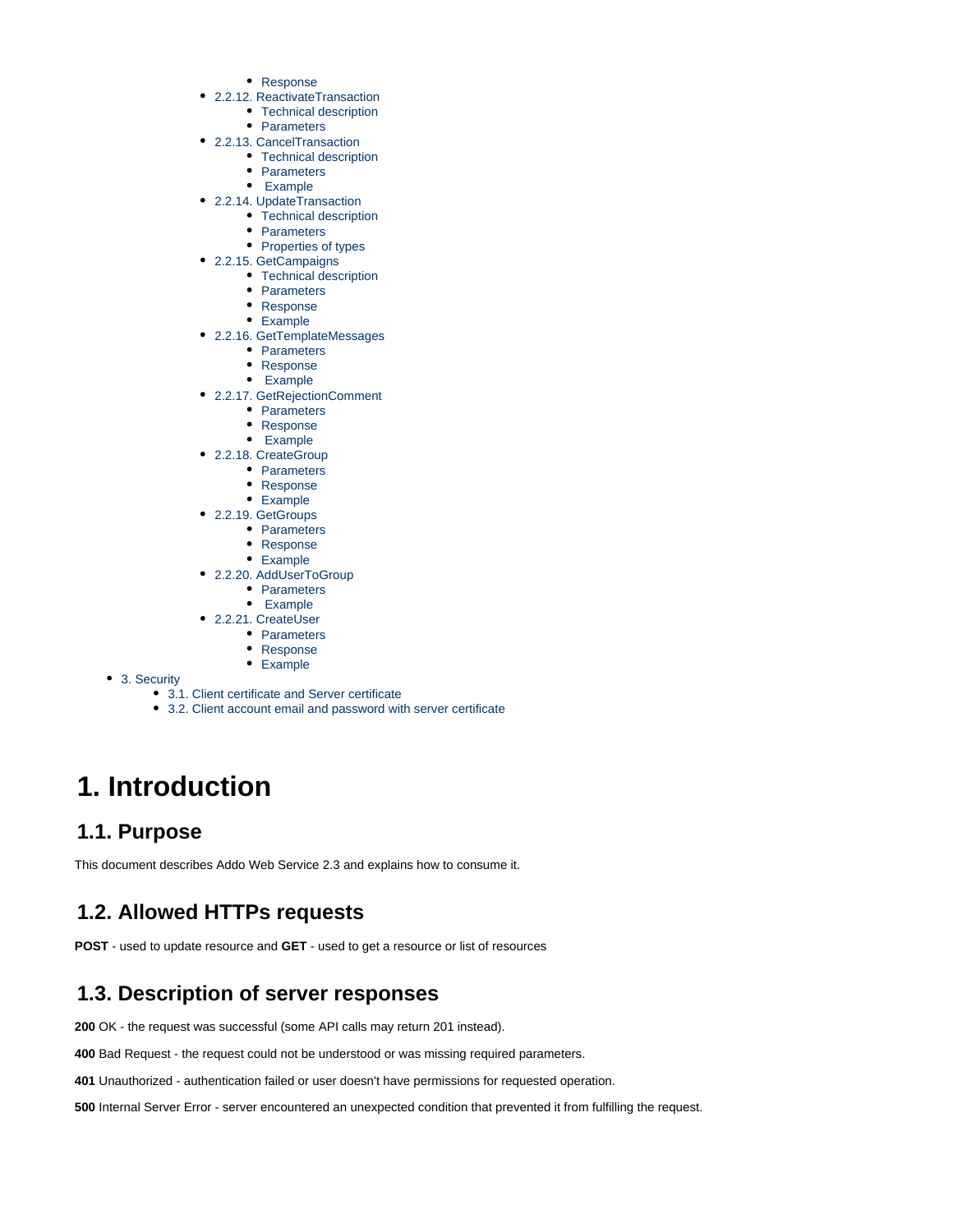- [Response](#page-20-4)
- [2.2.12. ReactivateTransaction](#page-20-5)
	- [Technical description](#page-20-6)
	- [Parameters](#page-20-7)
- [2.2.13. CancelTransaction](#page-20-8)
	- [Technical description](#page-21-0)
	- [Parameters](#page-21-1)
	- • [Example](#page-21-2)
- [2.2.14. UpdateTransaction](#page-21-3)
	- [Technical description](#page-21-4)
	- [Parameters](#page-21-5)
	- [Properties of types](#page-21-6)
- [2.2.15. GetCampaigns](#page-22-0)
	- [Technical description](#page-22-1) • [Parameters](#page-22-2)
	- [Response](#page-22-3)
	- [Example](#page-22-4)
- [2.2.16. GetTemplateMessages](#page-23-0)
	- [Parameters](#page-23-1)
	- [Response](#page-23-2)
	- • [Example](#page-23-3)
- [2.2.17. GetRejectionComment](#page-25-0)
	- [Parameters](#page-25-1)
	- [Response](#page-25-2)
	- • [Example](#page-25-3)
- [2.2.18. CreateGroup](#page-25-4)
	- [Parameters](#page-25-5)
	- [Response](#page-25-6)
	- [Example](#page-26-0)
- [2.2.19. GetGroups](#page-26-1) • [Parameters](#page-26-2)
	-
	- [Response](#page-26-3) [Example](#page-26-4)
- [2.2.20. AddUserToGroup](#page-26-5)
- [Parameters](#page-27-0)
	- • [Example](#page-27-1)
- [2.2.21. CreateUser](#page-27-2)
	- [Parameters](#page-27-3)
		- [Response](#page-27-4)
		- [Example](#page-27-5)
- [3. Security](#page-28-0)
	- [3.1. Client certificate and Server certificate](#page-28-1)
	- [3.2. Client account email and password with server certificate](#page-28-2)

# <span id="page-1-0"></span>**1. Introduction**

## <span id="page-1-1"></span>**1.1. Purpose**

This document describes Addo Web Service 2.3 and explains how to consume it.

## <span id="page-1-2"></span>**1.2. Allowed HTTPs requests**

**POST** - used to update resource and **GET** - used to get a resource or list of resources

## <span id="page-1-3"></span>**1.3. Description of server responses**

**200** OK - the request was successful (some API calls may return 201 instead).

**400** Bad Request - the request could not be understood or was missing required parameters.

**401** Unauthorized - authentication failed or user doesn't have permissions for requested operation.

<span id="page-1-4"></span>**500** Internal Server Error - server encountered an unexpected condition that prevented it from fulfilling the request.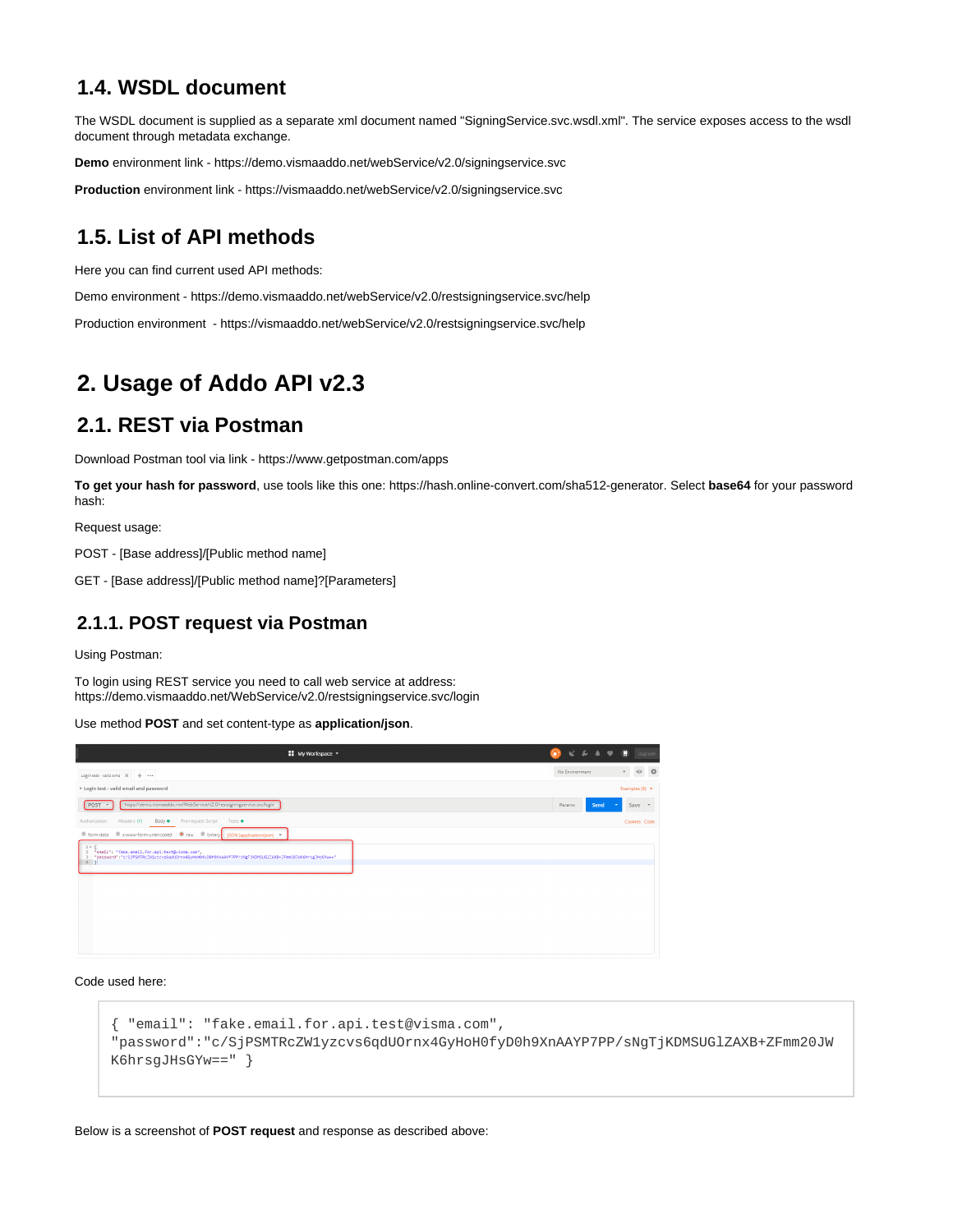## **1.4. WSDL document**

The WSDL document is supplied as a separate xml document named "SigningService.svc.wsdl.xml". The service exposes access to the wsdl document through metadata exchange.

**Demo** environment link - <https://demo.vismaaddo.net/webService/v2.0/signingservice.svc>

**Production** environment link - <https://vismaaddo.net/webService/v2.0/signingservice.svc>

## <span id="page-2-0"></span>**1.5. List of API methods**

Here you can find current used API methods:

Demo environment - <https://demo.vismaaddo.net/webService/v2.0/restsigningservice.svc/help>

Production environment - <https://vismaaddo.net/webService/v2.0/restsigningservice.svc/help>

# <span id="page-2-1"></span>**2. Usage of Addo API v2.3**

## <span id="page-2-2"></span>**2.1. REST via Postman**

Download Postman tool via link -<https://www.getpostman.com/apps>

**To get your hash for password**, use tools like this one: [https://hash.online-convert.com/sha512-generator](https://hash.online-convert.com/sha512-generator+). Select **base64** for your password hash:

Request usage:

POST - [Base address]/[Public method name]

GET - [Base address]/[Public method name]?[Parameters]

### <span id="page-2-3"></span>**2.1.1. POST request via Postman**

Using Postman:

To login using REST service you need to call web service at address: [https://demo.vismaaddo.net/WebService/v2.0/restsigningservice.svc/login](https://demo.vismaaddo.net/WebService/v2.0/restsigningservice.svc/login+)

Use method **POST** and set content-type as **application/json**.

| <b>My Workspace</b> v                                                                                                                                                                                                                                                                    | $C$ . Eq. ( ), (<br>$\bullet$ | $\bullet$<br>n<br>Upgrade           |
|------------------------------------------------------------------------------------------------------------------------------------------------------------------------------------------------------------------------------------------------------------------------------------------|-------------------------------|-------------------------------------|
| Login test - valid ema X + ***                                                                                                                                                                                                                                                           | No Environment                | 券<br>$\odot$<br>$\mathbf{v}$        |
| > Login test - valid email and password                                                                                                                                                                                                                                                  |                               | Examples $(0)$ $\blacktriangledown$ |
| https://demo.vismaaddo.net/WebService/v2.0/restsigningservice.svc/login<br>POST                                                                                                                                                                                                          | Send<br>Params                | Save $\sqrt{ }$<br>$\sim$           |
| Headers (1) Body Pre-request Script<br>Authorization<br>Tests ·                                                                                                                                                                                                                          |                               | Cookies Code                        |
| C form-data C x-www-form-urlencoded C raw C binary JSON (application/json) v<br>$1 - 1$<br>2 "email": "fake.email.for.api.test@visma.com",<br>"password":"c/SiPSMTRcZW1vzcvs6gdU0rnx4GyHoH0fyD0h9XnAAYP7PP/sNgTiKDMSUG1ZAXB+ZFmm20JWK6hrsgJHsGYw+="<br>$\overline{\phantom{a}}$<br>$4$ } |                               |                                     |

#### Code used here:

```
{ "email": "fake.email.for.api.test@visma.com",
"password":"c/SjPSMTRcZW1yzcvs6qdUOrnx4GyHoH0fyD0h9XnAAYP7PP/sNgTjKDMSUGlZAXB+ZFmm20JW
K6hrsgJHsGYw==" }
```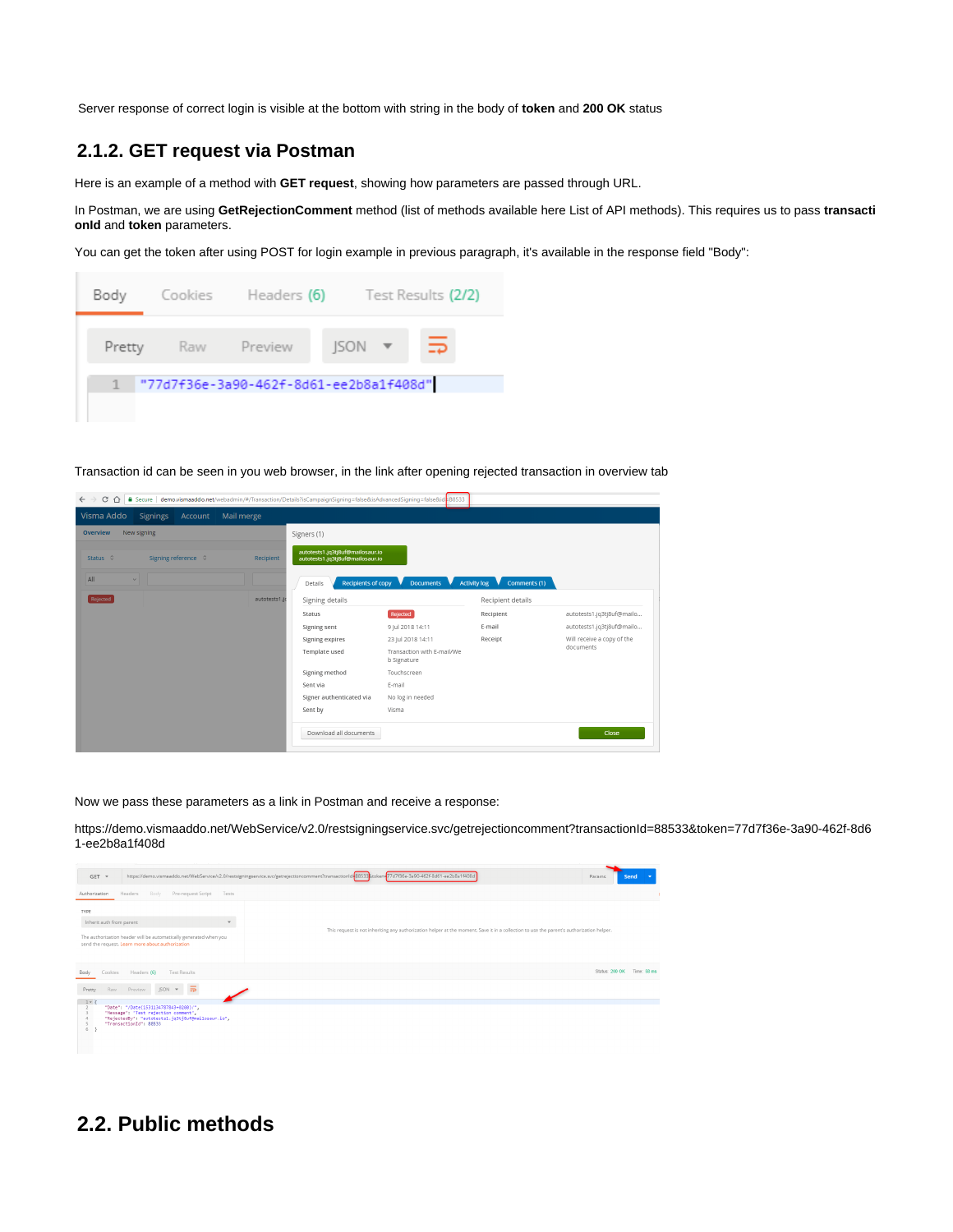Server response of correct login is visible at the bottom with string in the body of **token** and **200 OK** status

### <span id="page-3-0"></span>**2.1.2. GET request via Postman**

Here is an example of a method with **GET request**, showing how parameters are passed through URL.

In Postman, we are using **GetRejectionComment** method (list of methods available here [List of API methods](https://collaborate.consulting.visma.com/display/ADDO/API+Documentation+-+Addo+Web+Service+v2.0#APIDocumentation-AddoWebServicev2.0-1.5.ListofAPImethods)). This requires us to pass **transacti onId** and **token** parameters.

You can get the token after using POST for login example in previous paragraph, it's available in the response field "Body":



Transaction id can be seen in you web browser, in the link after opening rejected transaction in overview tab

| $C \Omega$<br>$\rightarrow$              |              | ■ Secure demo.vismaaddo.net/webadmin/#/Transaction/Details?isCampaignSigning=false&isAdvancedSigning=false&id=88533 |                                           |                                |                            |
|------------------------------------------|--------------|---------------------------------------------------------------------------------------------------------------------|-------------------------------------------|--------------------------------|----------------------------|
| Visma Addo<br><b>Signings</b><br>Account | Mail merge   |                                                                                                                     |                                           |                                |                            |
| Overview<br>New signing                  |              | Signers (1)                                                                                                         |                                           |                                |                            |
| Status 0<br>Signing reference 0          | Recipient    | autotests1.jq3tj8uf@mailosaur.io<br>autotests1.jq3tj8uf@mailosaur.io                                                |                                           |                                |                            |
| All<br>$\overline{\phantom{0}}$          |              | <b>Recipients of copy</b><br>Details                                                                                | Documents <b>V</b>                        | Activity $log$<br>Comments (1) |                            |
| Rejected                                 | autotests1.j | Signing details                                                                                                     |                                           | Recipient details              |                            |
|                                          |              | Status                                                                                                              | Rejected                                  | Recipient                      | autotests1.jq3tj8uf@mailo  |
|                                          |              | Signing sent                                                                                                        | 9 Jul 2018 14:11                          | E-mail                         | autotests1.jq3tj8uf@mailo  |
|                                          |              | Signing expires                                                                                                     | 23 Jul 2018 14:11                         | Receipt                        | Will receive a copy of the |
|                                          |              | Template used                                                                                                       | Transaction with E-mail/We<br>b Signature |                                | documents                  |
|                                          |              | Signing method                                                                                                      | Touchscreen                               |                                |                            |
|                                          |              | Sent via                                                                                                            | E-mail                                    |                                |                            |
|                                          |              | Signer authenticated via                                                                                            | No log in needed                          |                                |                            |
|                                          |              | Sent by                                                                                                             | Visma                                     |                                |                            |
|                                          |              | Download all documents                                                                                              |                                           |                                | Close                      |

Now we pass these parameters as a link in Postman and receive a response:

[https://demo.vismaaddo.net/WebService/v2.0/restsigningservice.svc/getrejectioncomment?transactionId=88533&token=77d7f36e-3a90-462f-8d6](https://demo.vismaaddo.net/WebService/v2.0/restsigningservice.svc/getrejectioncomment?transactionId=88533&token=77d7f36e-3a90-462f-8d61-ee2b8a1f408d) [1-ee2b8a1f408d](https://demo.vismaaddo.net/WebService/v2.0/restsigningservice.svc/getrejectioncomment?transactionId=88533&token=77d7f36e-3a90-462f-8d61-ee2b8a1f408d)



## <span id="page-3-1"></span>**2.2. Public methods**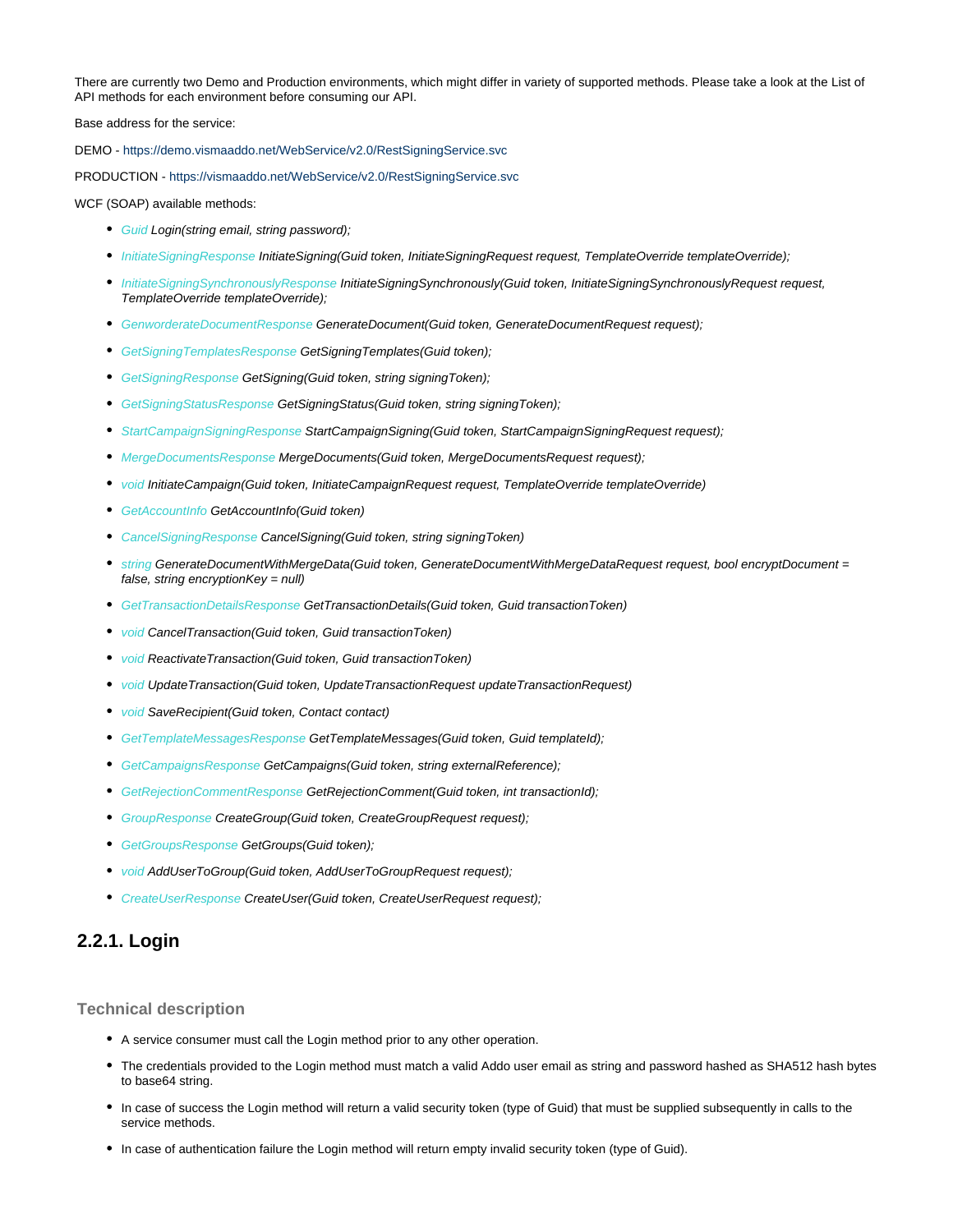There are currently two Demo and Production environments, which might differ in variety of supported methods. Please take a look at the [List of](https://collaborate.consulting.visma.com/display/ADDO/API+Documentation+-+Addo+Web+Service+v2.0#APIDocumentation-AddoWebServicev2.0-1.5.ListofAPImethods) [API methods](https://collaborate.consulting.visma.com/display/ADDO/API+Documentation+-+Addo+Web+Service+v2.0#APIDocumentation-AddoWebServicev2.0-1.5.ListofAPImethods) for each environment before consuming our API.

Base address for the service:

DEMO - [https://demo.vismaaddo.net/WebService/v2.0/RestSigningService.svc](https://vismaaddo.net/WebService/v2.0/RestSigningService.svc)

PRODUCTION - <https://vismaaddo.net/WebService/v2.0/RestSigningService.svc>

WCF (SOAP) available methods:

- Guid Login(string email, string password);
- InitiateSigningResponse InitiateSigning(Guid token, InitiateSigningRequest request, TemplateOverride templateOverride);
- **InitiateSigningSynchronouslyResponse InitiateSigningSynchronously(Guid token, InitiateSigningSynchronouslyRequest request,** TemplateOverride templateOverride);
- GenworderateDocumentResponse GenerateDocument(Guid token, GenerateDocumentRequest request);
- **GetSigningTemplatesResponse GetSigningTemplates(Guid token);**
- **GetSigningResponse GetSigning(Guid token, string signingToken);**
- **GetSigningStatusResponse GetSigningStatus(Guid token, string signingToken);**
- StartCampaignSigningResponse StartCampaignSigning(Guid token, StartCampaignSigningRequest request);
- MergeDocumentsResponse MergeDocuments(Guid token, MergeDocumentsRequest request);
- void InitiateCampaign(Guid token, InitiateCampaignRequest request, TemplateOverride templateOverride)
- GetAccountInfo GetAccountInfo(Guid token)
- CancelSigningResponse CancelSigning(Guid token, string signingToken)
- string GenerateDocumentWithMergeData(Guid token, GenerateDocumentWithMergeDataRequest request, bool encryptDocument = false, string encryption $Key = null$ )
- **GetTransactionDetailsResponse GetTransactionDetails(Guid token, Guid transactionToken)**
- void CancelTransaction(Guid token, Guid transactionToken)
- **void ReactivateTransaction(Guid token, Guid transactionToken)**
- void UpdateTransaction(Guid token, UpdateTransactionRequest updateTransactionRequest)
- void SaveRecipient(Guid token, Contact contact)
- **GetTemplateMessagesResponse GetTemplateMessages(Guid token, Guid templateId);**
- **GetCampaignsResponse GetCampaigns(Guid token, string externalReference);**
- **GetRejectionCommentResponse GetRejectionComment(Guid token, int transactionId);**
- **GroupResponse CreateGroup(Guid token, CreateGroupRequest request);**
- **GetGroupsResponse GetGroups(Guid token);**
- void AddUserToGroup(Guid token, AddUserToGroupRequest request);
- CreateUserResponse CreateUser(Guid token, CreateUserRequest request);

### <span id="page-4-0"></span>**2.2.1. Login**

#### <span id="page-4-1"></span>**Technical description**

- A service consumer must call the Login method prior to any other operation.
- The credentials provided to the Login method must match a valid Addo user email as string and password hashed as SHA512 hash bytes to base64 string.
- In case of success the Login method will return a valid security token (type of Guid) that must be supplied subsequently in calls to the service methods.
- In case of authentication failure the Login method will return empty invalid security token (type of Guid).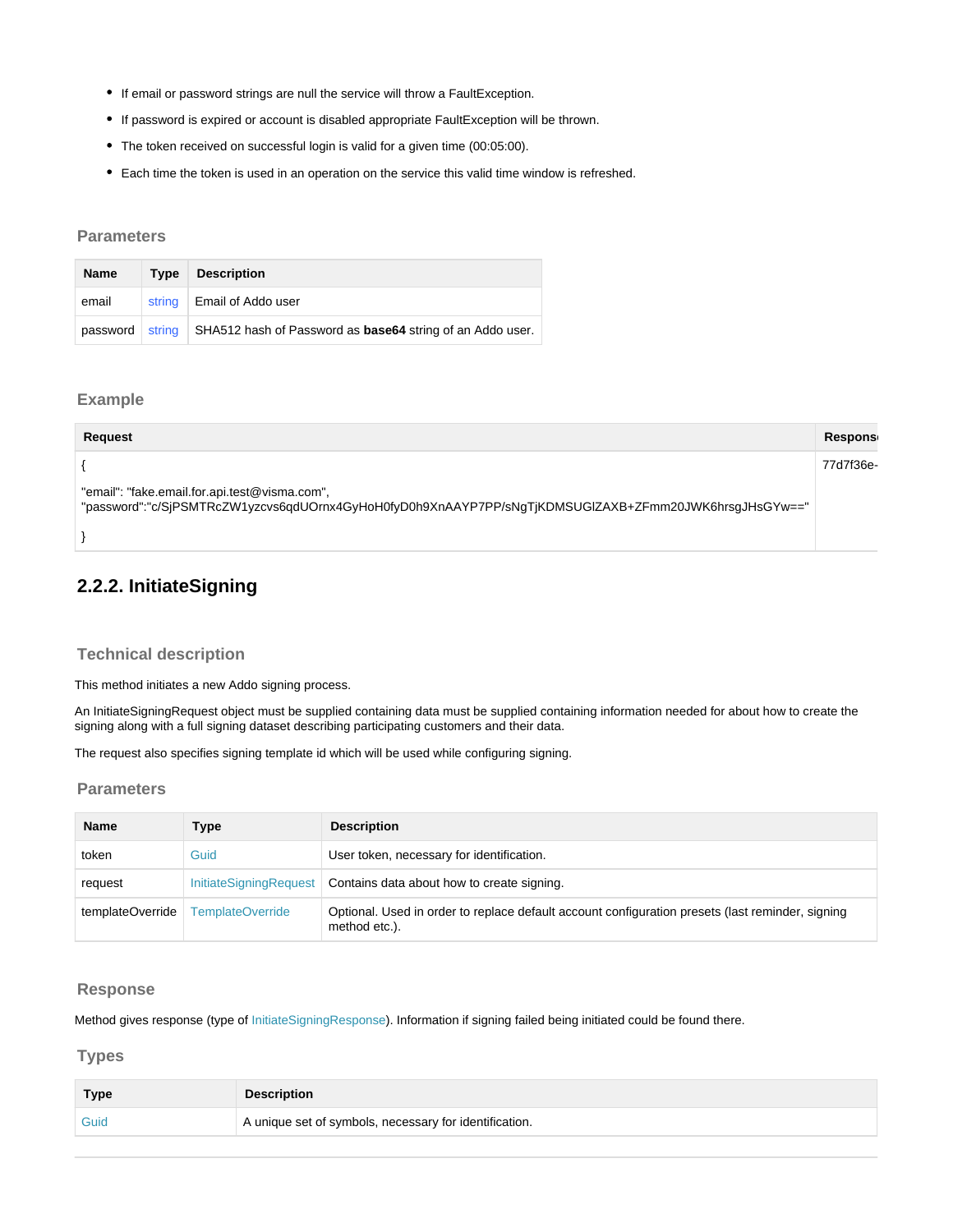- If email or password strings are null the service will throw a FaultException.
- If password is expired or account is disabled appropriate FaultException will be thrown.
- The token received on successful login is valid for a given time (00:05:00).
- Each time the token is used in an operation on the service this valid time window is refreshed.

#### <span id="page-5-0"></span>**Parameters**

| <b>Name</b> | Type   | <b>Description</b>                                                              |
|-------------|--------|---------------------------------------------------------------------------------|
| email       | string | Email of Addo user                                                              |
| password    |        | string $\vert$ SHA512 hash of Password as <b>base64</b> string of an Addo user. |

#### <span id="page-5-1"></span>**Example**

| <b>Request</b>                                                                                                                                         | Respons   |
|--------------------------------------------------------------------------------------------------------------------------------------------------------|-----------|
|                                                                                                                                                        | 77d7f36e- |
| "email": "fake.email.for.api.test@visma.com",<br>"password":"c/SjPSMTRcZW1yzcvs6qdUOrnx4GyHoH0fyD0h9XnAAYP7PP/sNgTjKDMSUGIZAXB+ZFmm20JWK6hrsgJHsGYw==" |           |
|                                                                                                                                                        |           |

## <span id="page-5-2"></span>**2.2.2. InitiateSigning**

#### <span id="page-5-3"></span>**Technical description**

This method initiates a new Addo signing process.

An InitiateSigningRequest object must be supplied containing data must be supplied containing information needed for about how to create the signing along with a full signing dataset describing participating customers and their data.

The request also specifies signing template id which will be used while configuring signing.

#### <span id="page-5-4"></span>**Parameters**

| <b>Name</b>      | Type                    | <b>Description</b>                                                                                                |
|------------------|-------------------------|-------------------------------------------------------------------------------------------------------------------|
| token            | Guid                    | User token, necessary for identification.                                                                         |
| request          | InitiateSigningRequest  | Contains data about how to create signing.                                                                        |
| templateOverride | <b>TemplateOverride</b> | Optional. Used in order to replace default account configuration presets (last reminder, signing<br>method etc.). |

#### <span id="page-5-5"></span>**Response**

Method gives response (type of InitiateSigningResponse). Information if signing failed being initiated could be found there.

<span id="page-5-6"></span>**Types**

| Type | <b>Description</b>                                     |
|------|--------------------------------------------------------|
|      | A unique set of symbols, necessary for identification. |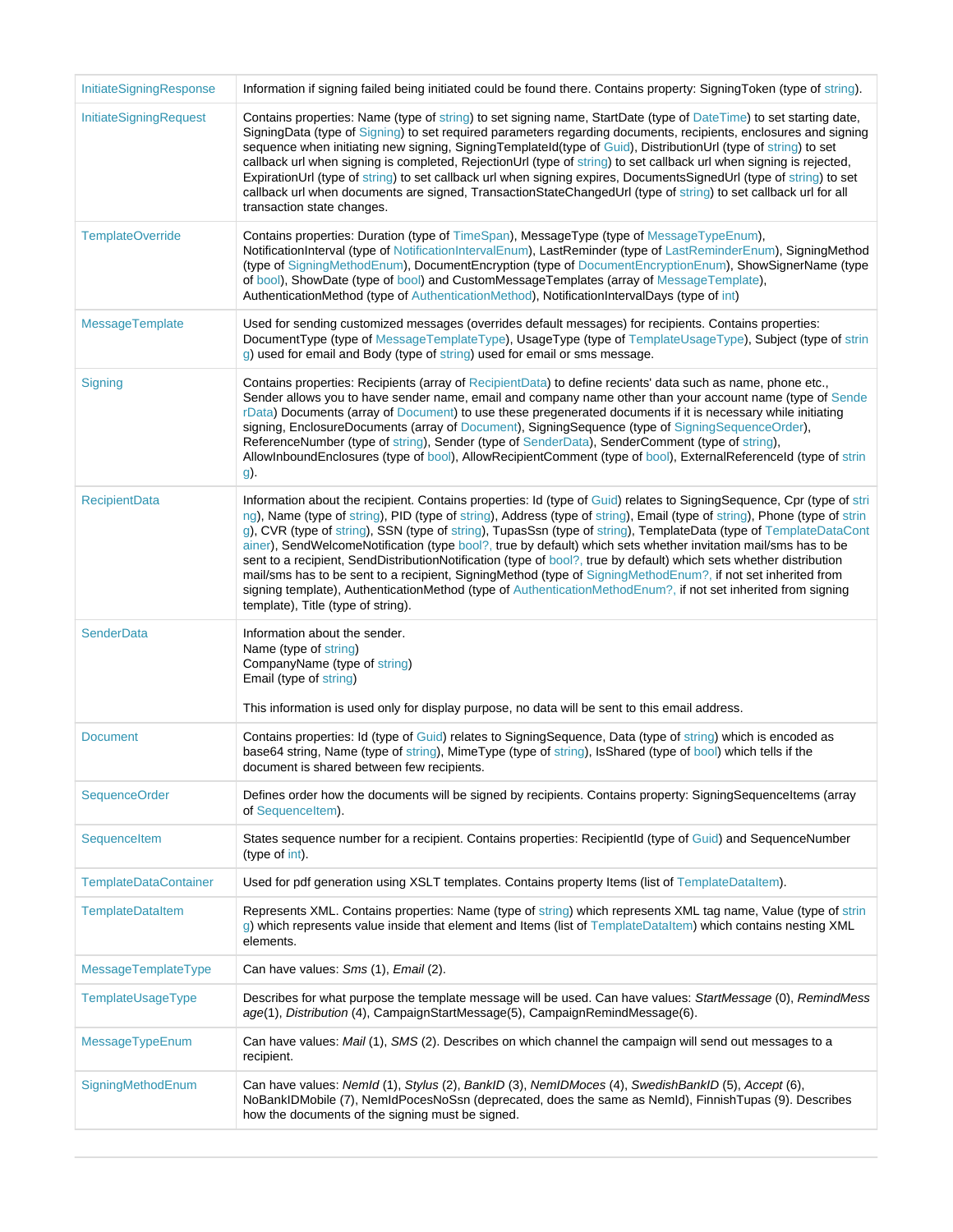| InitiateSigningResponse      | Information if signing failed being initiated could be found there. Contains property: Signing Token (type of string).                                                                                                                                                                                                                                                                                                                                                                                                                                                                                                                                                                                                                                                                                                                                                                |
|------------------------------|---------------------------------------------------------------------------------------------------------------------------------------------------------------------------------------------------------------------------------------------------------------------------------------------------------------------------------------------------------------------------------------------------------------------------------------------------------------------------------------------------------------------------------------------------------------------------------------------------------------------------------------------------------------------------------------------------------------------------------------------------------------------------------------------------------------------------------------------------------------------------------------|
| InitiateSigningRequest       | Contains properties: Name (type of string) to set signing name, StartDate (type of DateTime) to set starting date,<br>SigningData (type of Signing) to set required parameters regarding documents, recipients, enclosures and signing<br>sequence when initiating new signing, SigningTemplateId(type of Guid), DistributionUrl (type of string) to set<br>callback url when signing is completed, RejectionUrl (type of string) to set callback url when signing is rejected,<br>ExpirationUrl (type of string) to set callback url when signing expires, DocumentsSignedUrl (type of string) to set<br>callback url when documents are signed, TransactionStateChangedUrl (type of string) to set callback url for all<br>transaction state changes.                                                                                                                               |
| <b>TemplateOverride</b>      | Contains properties: Duration (type of TimeSpan), MessageType (type of MessageTypeEnum),<br>NotificationInterval (type of NotificationIntervalEnum), LastReminder (type of LastReminderEnum), SigningMethod<br>(type of SigningMethodEnum), DocumentEncryption (type of DocumentEncryptionEnum), ShowSignerName (type<br>of bool), ShowDate (type of bool) and CustomMessageTemplates (array of MessageTemplate),<br>AuthenticationMethod (type of AuthenticationMethod), NotificationIntervalDays (type of int)                                                                                                                                                                                                                                                                                                                                                                      |
| <b>MessageTemplate</b>       | Used for sending customized messages (overrides default messages) for recipients. Contains properties:<br>DocumentType (type of MessageTemplateType), UsageType (type of TemplateUsageType), Subject (type of strin<br>g) used for email and Body (type of string) used for email or sms message.                                                                                                                                                                                                                                                                                                                                                                                                                                                                                                                                                                                     |
| Signing                      | Contains properties: Recipients (array of RecipientData) to define recients' data such as name, phone etc.,<br>Sender allows you to have sender name, email and company name other than your account name (type of Sende<br>rData) Documents (array of Document) to use these pregenerated documents if it is necessary while initiating<br>signing, EnclosureDocuments (array of Document), SigningSequence (type of SigningSequenceOrder),<br>ReferenceNumber (type of string), Sender (type of SenderData), SenderComment (type of string),<br>AllowInboundEnclosures (type of bool), AllowRecipientComment (type of bool), ExternalReferenceId (type of strin<br>g).                                                                                                                                                                                                              |
| <b>RecipientData</b>         | Information about the recipient. Contains properties: Id (type of Guid) relates to SigningSequence, Cpr (type of stri<br>ng), Name (type of string), PID (type of string), Address (type of string), Email (type of string), Phone (type of strin<br>g), CVR (type of string), SSN (type of string), TupasSsn (type of string), TemplateData (type of TemplateDataCont<br>ainer), SendWelcomeNotification (type bool?, true by default) which sets whether invitation mail/sms has to be<br>sent to a recipient, SendDistributionNotification (type of bool?, true by default) which sets whether distribution<br>mail/sms has to be sent to a recipient, SigningMethod (type of SigningMethodEnum?, if not set inherited from<br>signing template), AuthenticationMethod (type of AuthenticationMethodEnum?, if not set inherited from signing<br>template), Title (type of string). |
| <b>SenderData</b>            | Information about the sender.<br>Name (type of string)<br>CompanyName (type of string)<br>Email (type of string)<br>This information is used only for display purpose, no data will be sent to this email address.                                                                                                                                                                                                                                                                                                                                                                                                                                                                                                                                                                                                                                                                    |
| <b>Document</b>              | Contains properties: Id (type of Guid) relates to SigningSequence, Data (type of string) which is encoded as<br>base64 string, Name (type of string), MimeType (type of string), IsShared (type of bool) which tells if the<br>document is shared between few recipients.                                                                                                                                                                                                                                                                                                                                                                                                                                                                                                                                                                                                             |
| <b>SequenceOrder</b>         | Defines order how the documents will be signed by recipients. Contains property: SigningSequenceItems (array<br>of SequenceItem).                                                                                                                                                                                                                                                                                                                                                                                                                                                                                                                                                                                                                                                                                                                                                     |
| SequenceItem                 | States sequence number for a recipient. Contains properties: RecipientId (type of Guid) and SequenceNumber<br>(type of int).                                                                                                                                                                                                                                                                                                                                                                                                                                                                                                                                                                                                                                                                                                                                                          |
| <b>TemplateDataContainer</b> | Used for pdf generation using XSLT templates. Contains property Items (list of TemplateDataItem).                                                                                                                                                                                                                                                                                                                                                                                                                                                                                                                                                                                                                                                                                                                                                                                     |
| <b>TemplateDataItem</b>      | Represents XML. Contains properties: Name (type of string) which represents XML tag name, Value (type of strin<br>g) which represents value inside that element and Items (list of TemplateDataItem) which contains nesting XML<br>elements.                                                                                                                                                                                                                                                                                                                                                                                                                                                                                                                                                                                                                                          |
| MessageTemplateType          | Can have values: Sms (1), Email (2).                                                                                                                                                                                                                                                                                                                                                                                                                                                                                                                                                                                                                                                                                                                                                                                                                                                  |
| TemplateUsageType            | Describes for what purpose the template message will be used. Can have values: StartMessage (0), RemindMess<br>age(1), Distribution (4), CampaignStartMessage(5), CampaignRemindMessage(6).                                                                                                                                                                                                                                                                                                                                                                                                                                                                                                                                                                                                                                                                                           |
| MessageTypeEnum              | Can have values: Mail (1), SMS (2). Describes on which channel the campaign will send out messages to a<br>recipient.                                                                                                                                                                                                                                                                                                                                                                                                                                                                                                                                                                                                                                                                                                                                                                 |
| SigningMethodEnum            | Can have values: NemId (1), Stylus (2), BankID (3), NemIDMoces (4), SwedishBankID (5), Accept (6),<br>NoBankIDMobile (7), NemIdPocesNoSsn (deprecated, does the same as NemId), FinnishTupas (9). Describes<br>how the documents of the signing must be signed.                                                                                                                                                                                                                                                                                                                                                                                                                                                                                                                                                                                                                       |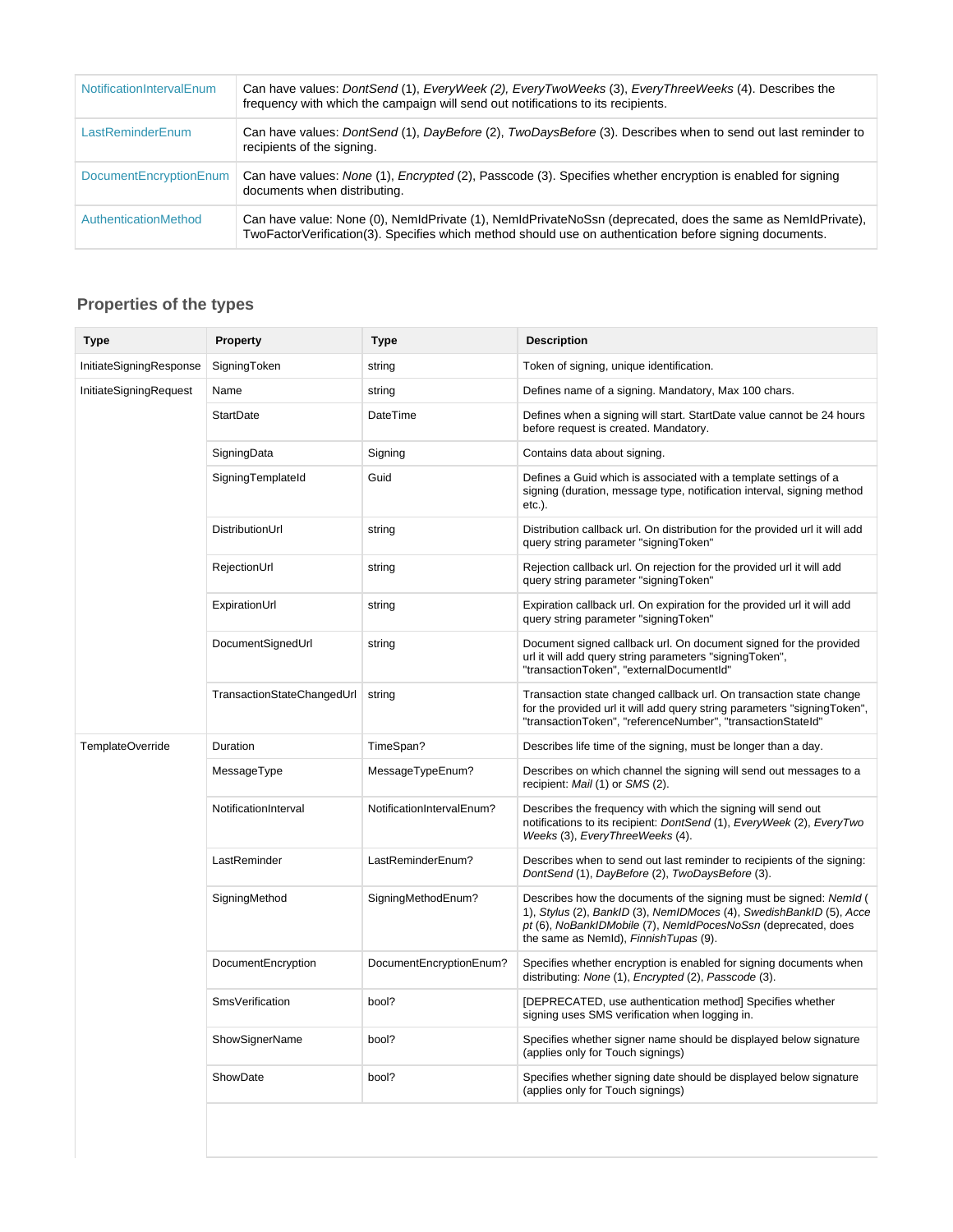| NotificationIntervalEnum      | Can have values: DontSend (1), EveryWeek (2), EveryTwoWeeks (3), EveryThreeWeeks (4). Describes the<br>frequency with which the campaign will send out notifications to its recipients.                               |
|-------------------------------|-----------------------------------------------------------------------------------------------------------------------------------------------------------------------------------------------------------------------|
| LastReminderEnum              | Can have values: DontSend (1), DayBefore (2), TwoDaysBefore (3). Describes when to send out last reminder to<br>recipients of the signing.                                                                            |
| <b>DocumentEncryptionEnum</b> | Can have values: None (1), Encrypted (2), Passcode (3). Specifies whether encryption is enabled for signing<br>documents when distributing.                                                                           |
| AuthenticationMethod          | Can have value: None (0), NemIdPrivate (1), NemIdPrivateNoSsn (deprecated, does the same as NemIdPrivate),<br>TwoFactorVerification(3). Specifies which method should use on authentication before signing documents. |

<span id="page-7-0"></span>

| <b>Type</b>             | <b>Property</b>            | <b>Type</b>               | <b>Description</b>                                                                                                                                                                                                                                   |
|-------------------------|----------------------------|---------------------------|------------------------------------------------------------------------------------------------------------------------------------------------------------------------------------------------------------------------------------------------------|
| InitiateSigningResponse | SigningToken               | string                    | Token of signing, unique identification.                                                                                                                                                                                                             |
| InitiateSigningRequest  | Name                       | string                    | Defines name of a signing. Mandatory, Max 100 chars.                                                                                                                                                                                                 |
|                         | <b>StartDate</b>           | DateTime                  | Defines when a signing will start. StartDate value cannot be 24 hours<br>before request is created. Mandatory.                                                                                                                                       |
|                         | SigningData                | Signing                   | Contains data about signing.                                                                                                                                                                                                                         |
|                         | SigningTemplateId          | Guid                      | Defines a Guid which is associated with a template settings of a<br>signing (duration, message type, notification interval, signing method<br>$etc.$ ).                                                                                              |
|                         | DistributionUrl            | string                    | Distribution callback url. On distribution for the provided url it will add<br>query string parameter "signingToken"                                                                                                                                 |
|                         | RejectionUrl               | string                    | Rejection callback url. On rejection for the provided url it will add<br>query string parameter "signingToken"                                                                                                                                       |
|                         | ExpirationUrl              | string                    | Expiration callback url. On expiration for the provided url it will add<br>query string parameter "signingToken"                                                                                                                                     |
|                         | DocumentSignedUrl          | string                    | Document signed callback url. On document signed for the provided<br>url it will add query string parameters "signingToken",<br>"transactionToken", "externalDocumentId"                                                                             |
|                         | TransactionStateChangedUrl | string                    | Transaction state changed callback url. On transaction state change<br>for the provided url it will add query string parameters "signing Token",<br>"transactionToken", "referenceNumber", "transactionStateId"                                      |
| TemplateOverride        | Duration                   | TimeSpan?                 | Describes life time of the signing, must be longer than a day.                                                                                                                                                                                       |
|                         | MessageType                | MessageTypeEnum?          | Describes on which channel the signing will send out messages to a<br>recipient: Mail (1) or SMS (2).                                                                                                                                                |
|                         | NotificationInterval       | NotificationIntervalEnum? | Describes the frequency with which the signing will send out<br>notifications to its recipient: DontSend (1), EveryWeek (2), EveryTwo<br>Weeks (3), EveryThreeWeeks (4).                                                                             |
|                         | LastReminder               | LastReminderEnum?         | Describes when to send out last reminder to recipients of the signing:<br>DontSend (1), DayBefore (2), TwoDaysBefore (3).                                                                                                                            |
|                         | SigningMethod              | SigningMethodEnum?        | Describes how the documents of the signing must be signed: Nemld (<br>1), Stylus (2), BankID (3), NemIDMoces (4), SwedishBankID (5), Acce<br>pt (6), NoBankIDMobile (7), NemIdPocesNoSsn (deprecated, does<br>the same as NemId), Finnish Tupas (9). |
|                         | DocumentEncryption         | DocumentEncryptionEnum?   | Specifies whether encryption is enabled for signing documents when<br>distributing: None (1), Encrypted (2), Passcode (3).                                                                                                                           |
|                         | <b>SmsVerification</b>     | bool?                     | [DEPRECATED, use authentication method] Specifies whether<br>signing uses SMS verification when logging in.                                                                                                                                          |
|                         | <b>ShowSignerName</b>      | bool?                     | Specifies whether signer name should be displayed below signature<br>(applies only for Touch signings)                                                                                                                                               |
|                         | ShowDate                   | bool?                     | Specifies whether signing date should be displayed below signature<br>(applies only for Touch signings)                                                                                                                                              |
|                         |                            |                           |                                                                                                                                                                                                                                                      |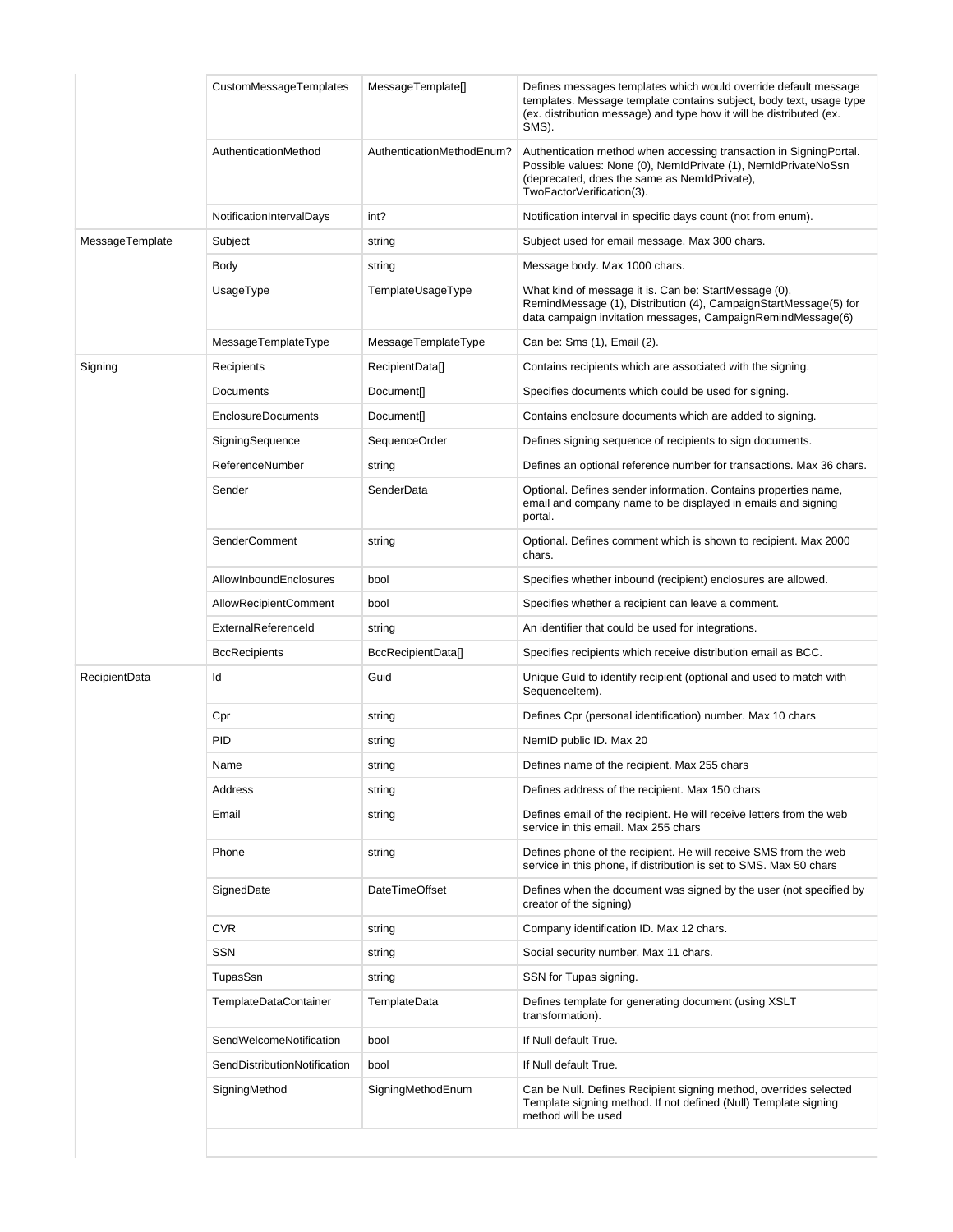|                      | CustomMessageTemplates       | MessageTemplate[]         | Defines messages templates which would override default message<br>templates. Message template contains subject, body text, usage type<br>(ex. distribution message) and type how it will be distributed (ex.<br>SMS). |
|----------------------|------------------------------|---------------------------|------------------------------------------------------------------------------------------------------------------------------------------------------------------------------------------------------------------------|
|                      | AuthenticationMethod         | AuthenticationMethodEnum? | Authentication method when accessing transaction in SigningPortal.<br>Possible values: None (0), NemIdPrivate (1), NemIdPrivateNoSsn<br>(deprecated, does the same as NemIdPrivate),<br>TwoFactorVerification(3).      |
|                      | NotificationIntervalDays     | int?                      | Notification interval in specific days count (not from enum).                                                                                                                                                          |
| MessageTemplate      | Subject                      | string                    | Subject used for email message. Max 300 chars.                                                                                                                                                                         |
|                      | Body                         | string                    | Message body. Max 1000 chars.                                                                                                                                                                                          |
|                      | UsageType                    | TemplateUsageType         | What kind of message it is. Can be: StartMessage (0),<br>RemindMessage (1), Distribution (4), CampaignStartMessage(5) for<br>data campaign invitation messages, CampaignRemindMessage(6)                               |
|                      | MessageTemplateType          | MessageTemplateType       | Can be: Sms (1), Email (2).                                                                                                                                                                                            |
| Signing              | Recipients                   | RecipientData[]           | Contains recipients which are associated with the signing.                                                                                                                                                             |
|                      | Documents                    | Document[]                | Specifies documents which could be used for signing.                                                                                                                                                                   |
|                      | <b>EnclosureDocuments</b>    | <b>Document[]</b>         | Contains enclosure documents which are added to signing.                                                                                                                                                               |
|                      | SigningSequence              | SequenceOrder             | Defines signing sequence of recipients to sign documents.                                                                                                                                                              |
|                      | ReferenceNumber              | string                    | Defines an optional reference number for transactions. Max 36 chars.                                                                                                                                                   |
|                      | Sender                       | SenderData                | Optional. Defines sender information. Contains properties name,<br>email and company name to be displayed in emails and signing<br>portal.                                                                             |
|                      | <b>SenderComment</b>         | string                    | Optional. Defines comment which is shown to recipient. Max 2000<br>chars.                                                                                                                                              |
|                      | AllowInboundEnclosures       | bool                      | Specifies whether inbound (recipient) enclosures are allowed.                                                                                                                                                          |
|                      | <b>AllowRecipientComment</b> | bool                      | Specifies whether a recipient can leave a comment.                                                                                                                                                                     |
|                      | ExternalReferenceId          | string                    | An identifier that could be used for integrations.                                                                                                                                                                     |
|                      | <b>BccRecipients</b>         | BccRecipientData[]        | Specifies recipients which receive distribution email as BCC.                                                                                                                                                          |
| <b>RecipientData</b> | ld                           | Guid                      | Unique Guid to identify recipient (optional and used to match with<br>Sequenceltem).                                                                                                                                   |
|                      | Cpr                          | string                    | Defines Cpr (personal identification) number. Max 10 chars                                                                                                                                                             |
|                      | PID                          | string                    | NemID public ID. Max 20                                                                                                                                                                                                |
|                      | Name                         | string                    | Defines name of the recipient. Max 255 chars                                                                                                                                                                           |
|                      | Address                      | string                    | Defines address of the recipient. Max 150 chars                                                                                                                                                                        |
|                      | Email                        | string                    | Defines email of the recipient. He will receive letters from the web<br>service in this email. Max 255 chars                                                                                                           |
|                      | Phone                        | string                    | Defines phone of the recipient. He will receive SMS from the web<br>service in this phone, if distribution is set to SMS. Max 50 chars                                                                                 |
|                      | SignedDate                   | <b>DateTimeOffset</b>     | Defines when the document was signed by the user (not specified by<br>creator of the signing)                                                                                                                          |
|                      | <b>CVR</b>                   | string                    | Company identification ID. Max 12 chars.                                                                                                                                                                               |
|                      | <b>SSN</b>                   | string                    | Social security number. Max 11 chars.                                                                                                                                                                                  |
|                      | TupasSsn                     | string                    | SSN for Tupas signing.                                                                                                                                                                                                 |
|                      | <b>TemplateDataContainer</b> | TemplateData              | Defines template for generating document (using XSLT<br>transformation).                                                                                                                                               |
|                      | SendWelcomeNotification      | bool                      | If Null default True.                                                                                                                                                                                                  |
|                      | SendDistributionNotification | bool                      | If Null default True.                                                                                                                                                                                                  |
|                      | SigningMethod                | SigningMethodEnum         | Can be Null. Defines Recipient signing method, overrides selected<br>Template signing method. If not defined (Null) Template signing<br>method will be used                                                            |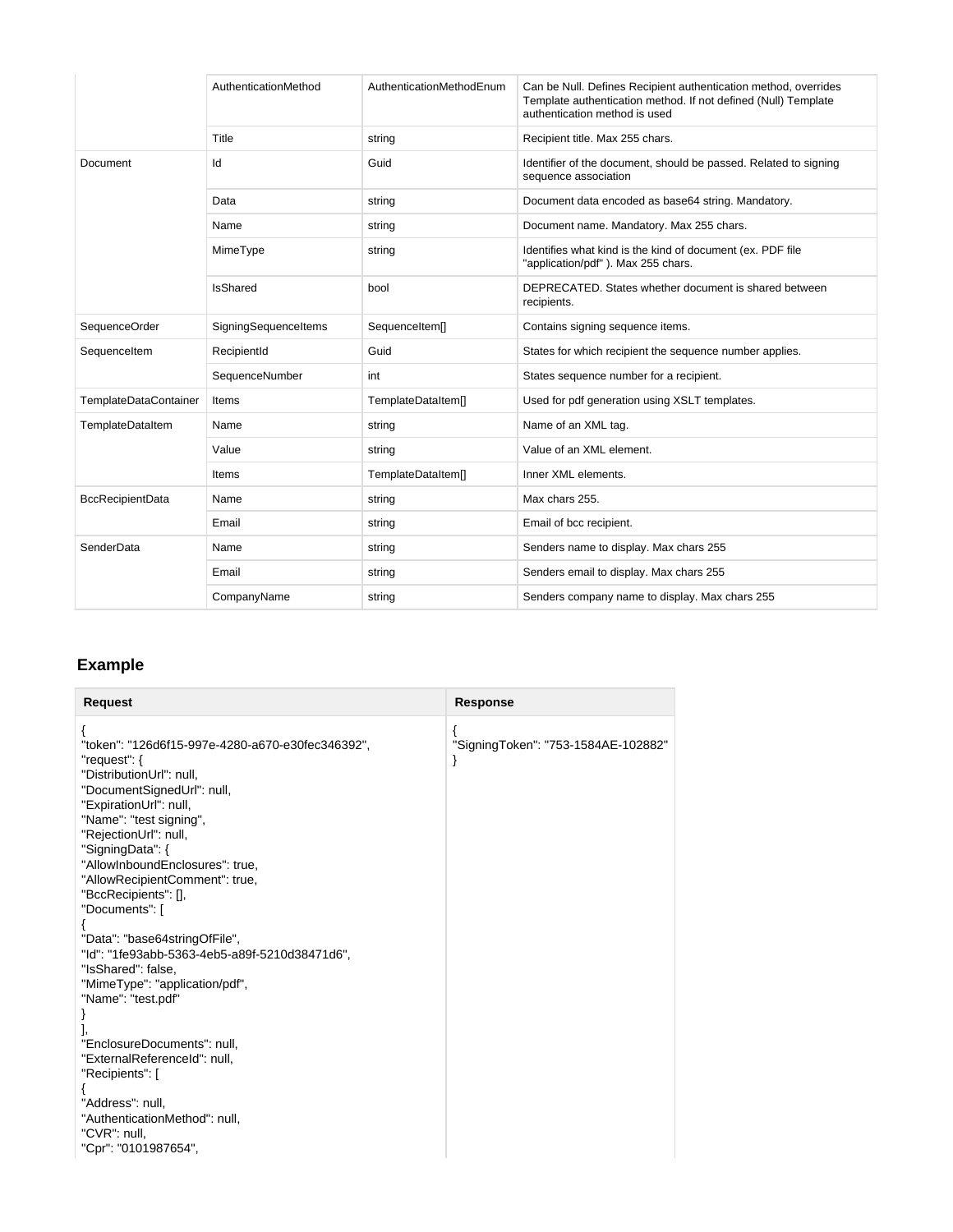|                              | AuthenticationMethod | AuthenticationMethodEnum | Can be Null. Defines Recipient authentication method, overrides<br>Template authentication method. If not defined (Null) Template<br>authentication method is used |
|------------------------------|----------------------|--------------------------|--------------------------------------------------------------------------------------------------------------------------------------------------------------------|
|                              | Title                | string                   | Recipient title. Max 255 chars.                                                                                                                                    |
| Document                     | Id                   | Guid                     | Identifier of the document, should be passed. Related to signing<br>sequence association                                                                           |
|                              | Data                 | string                   | Document data encoded as base64 string. Mandatory.                                                                                                                 |
|                              | Name                 | string                   | Document name. Mandatory. Max 255 chars.                                                                                                                           |
|                              | MimeType             | string                   | Identifies what kind is the kind of document (ex. PDF file<br>"application/pdf"). Max 255 chars.                                                                   |
|                              | <b>IsShared</b>      | bool                     | DEPRECATED. States whether document is shared between<br>recipients.                                                                                               |
| SequenceOrder                | SigningSequenceItems | SequenceItem[]           | Contains signing sequence items.                                                                                                                                   |
| Sequenceltem                 | RecipientId          | Guid                     | States for which recipient the sequence number applies.                                                                                                            |
|                              | SequenceNumber       | int                      | States sequence number for a recipient.                                                                                                                            |
| <b>TemplateDataContainer</b> | Items                | TemplateDataItem[]       | Used for pdf generation using XSLT templates.                                                                                                                      |
| TemplateDataItem             | Name                 | string                   | Name of an XML tag.                                                                                                                                                |
|                              | Value                | string                   | Value of an XML element.                                                                                                                                           |
|                              | Items                | TemplateDataItem[]       | Inner XML elements.                                                                                                                                                |
| <b>BccRecipientData</b>      | Name                 | string                   | Max chars 255.                                                                                                                                                     |
|                              | Email                | string                   | Email of bcc recipient.                                                                                                                                            |
| SenderData                   | Name                 | string                   | Senders name to display. Max chars 255                                                                                                                             |
|                              | Email                | string                   | Senders email to display. Max chars 255                                                                                                                            |
|                              | CompanyName          | string                   | Senders company name to display. Max chars 255                                                                                                                     |

## <span id="page-9-0"></span>**Example**

| <b>Request</b><br><b>Response</b>                                                                                                                                                                                                                                                                                                                                                                                                                                                                                                                                                                                                                                                                                                                           |  |
|-------------------------------------------------------------------------------------------------------------------------------------------------------------------------------------------------------------------------------------------------------------------------------------------------------------------------------------------------------------------------------------------------------------------------------------------------------------------------------------------------------------------------------------------------------------------------------------------------------------------------------------------------------------------------------------------------------------------------------------------------------------|--|
| ₹<br>₹<br>"token": "126d6f15-997e-4280-a670-e30fec346392",<br>"SigningToken": "753-1584AE-102882"<br>"request": {<br>ł<br>"DistributionUrl": null,<br>"DocumentSignedUrl": null,<br>"ExpirationUrl": null,<br>"Name": "test signing",<br>"RejectionUrl": null,<br>"SigningData": {<br>"AllowInboundEnclosures": true,<br>"AllowRecipientComment": true,<br>"BccRecipients": [],<br>"Documents": [<br>"Data": "base64stringOfFile",<br>"Id": "1fe93abb-5363-4eb5-a89f-5210d38471d6",<br>"IsShared": false,<br>"MimeType": "application/pdf",<br>"Name": "test.pdf"<br>ł<br>J,<br>"EnclosureDocuments": null,<br>"ExternalReferenceId": null,<br>"Recipients": [<br>"Address": null,<br>"AuthenticationMethod": null,<br>"CVR": null,<br>"Cpr": "0101987654", |  |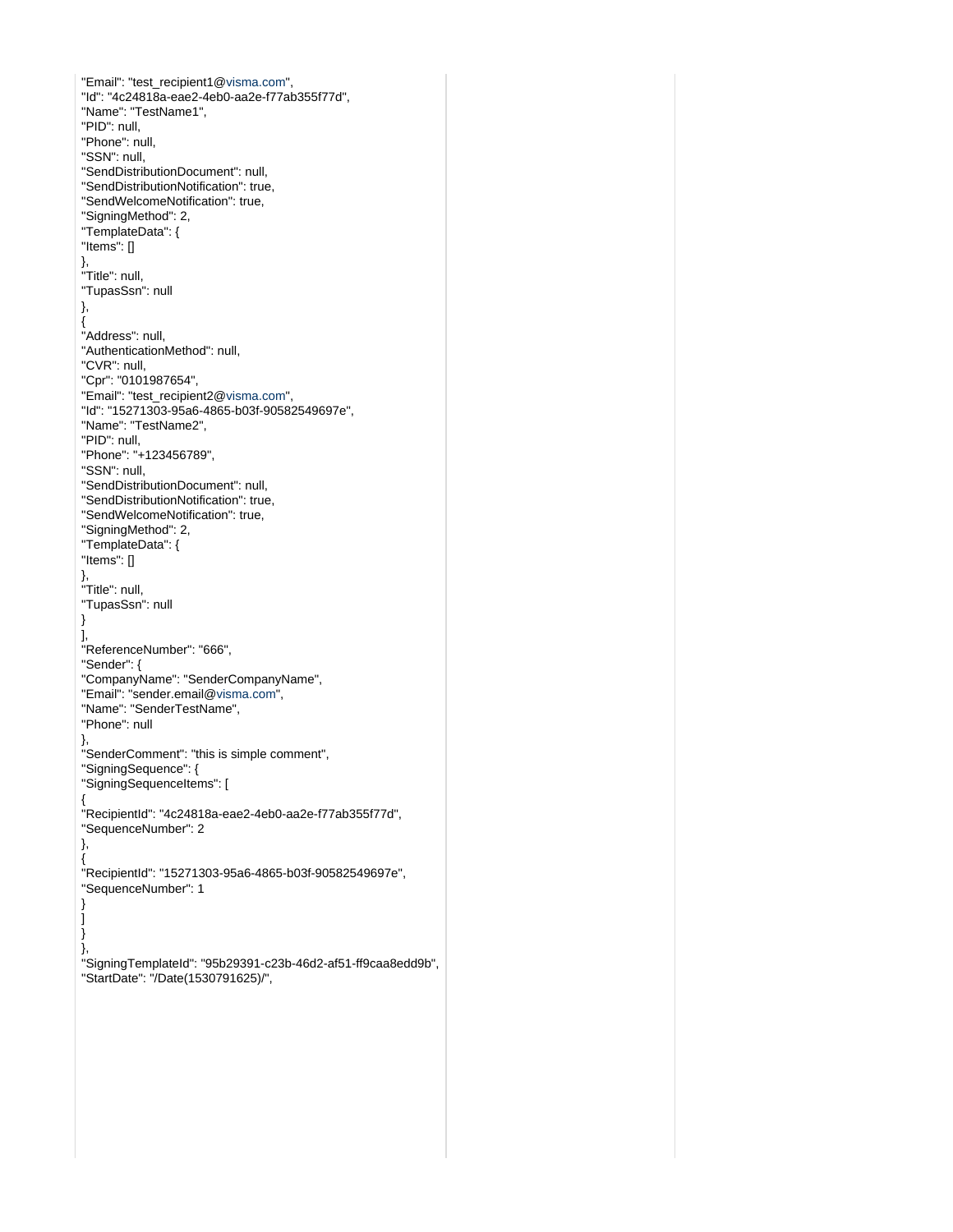"Email": "test\_recipient1[@visma.com"](http://visma.com), "Id": "4c24818a-eae2-4eb0-aa2e-f77ab355f77d", "Name": "TestName1", "PID": null, "Phone": null, "SSN": null, "SendDistributionDocument": null, "SendDistributionNotification": true, "SendWelcomeNotification": true, "SigningMethod": 2, "TemplateData": { "Items": [] }, "Title": null, "TupasSsn": null }, { "Address": null, "AuthenticationMethod": null, "CVR": null, "Cpr": "0101987654", "Email": "test\_recipient2[@visma.com"](http://visma.com), "Id": "15271303-95a6-4865-b03f-90582549697e", "Name": "TestName2", "PID": null, "Phone": "+123456789", "SSN": null, "SendDistributionDocument": null, "SendDistributionNotification": true, "SendWelcomeNotification": true, "SigningMethod": 2, "TemplateData": { "Items": [] }, "Title": null, "TupasSsn": null } ], "ReferenceNumber": "666", "Sender": { "CompanyName": "SenderCompanyName", "Email": "sender.email[@visma.com](http://visma.com)", "Name": "SenderTestName", "Phone": null }, "SenderComment": "this is simple comment", "SigningSequence": { "SigningSequenceItems": [ { "RecipientId": "4c24818a-eae2-4eb0-aa2e-f77ab355f77d", "SequenceNumber": 2 }, { "RecipientId": "15271303-95a6-4865-b03f-90582549697e", "SequenceNumber": 1 } ] } }, "SigningTemplateId": "95b29391-c23b-46d2-af51-ff9caa8edd9b", "StartDate": "/Date(1530791625)/",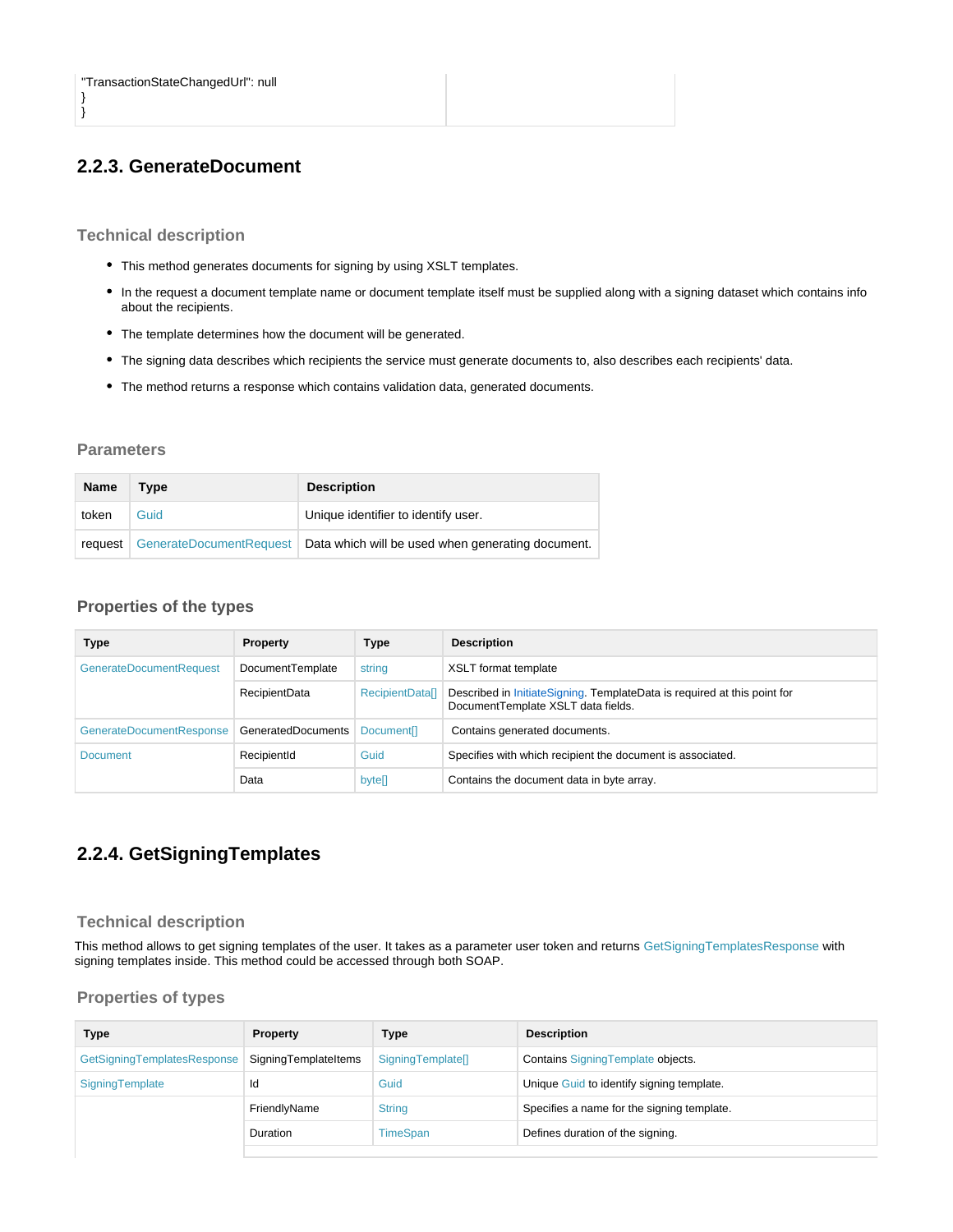} }

## <span id="page-11-0"></span>**2.2.3. GenerateDocument**

#### <span id="page-11-1"></span>**Technical description**

- This method generates documents for signing by using XSLT templates.
- In the request a document template name or document template itself must be supplied along with a signing dataset which contains info about the recipients.
- The template determines how the document will be generated.
- The signing data describes which recipients the service must generate documents to, also describes each recipients' data.
- The method returns a response which contains validation data, generated documents.

#### <span id="page-11-2"></span>**Parameters**

| <b>Name</b> | Type | <b>Description</b>                                                          |
|-------------|------|-----------------------------------------------------------------------------|
| token       | Guid | Unique identifier to identify user.                                         |
| request     |      | GenerateDocumentRequest   Data which will be used when generating document. |

### <span id="page-11-3"></span>**Properties of the types**

| <b>Type</b>                    | Property             | <b>Type</b>                   | <b>Description</b>                                                                                             |
|--------------------------------|----------------------|-------------------------------|----------------------------------------------------------------------------------------------------------------|
| <b>GenerateDocumentRequest</b> | DocumentTemplate     | string                        | XSLT format template                                                                                           |
|                                | <b>RecipientData</b> | RecipientDatal                | Described in InitiateSigning. TemplateData is required at this point for<br>DocumentTemplate XSLT data fields. |
| GenerateDocumentResponse       | GeneratedDocuments   | <b>Document</b> <sup>[]</sup> | Contains generated documents.                                                                                  |
| <b>Document</b>                | RecipientId          | Guid                          | Specifies with which recipient the document is associated.                                                     |
|                                | Data                 | bytell                        | Contains the document data in byte array.                                                                      |

## <span id="page-11-4"></span>**2.2.4. GetSigningTemplates**

#### <span id="page-11-5"></span>**Technical description**

This method allows to get signing templates of the user. It takes as a parameter user token and returns GetSigningTemplatesResponse with signing templates inside. This method could be accessed through both SOAP.

<span id="page-11-6"></span>

| Type                        | <b>Property</b>      | Type              | <b>Description</b>                         |
|-----------------------------|----------------------|-------------------|--------------------------------------------|
| GetSigningTemplatesResponse | SigningTemplateItems | SigningTemplate[] | Contains Signing Template objects.         |
| SigningTemplate             | Id                   | Guid              | Unique Guid to identify signing template.  |
|                             | FriendlyName         | <b>String</b>     | Specifies a name for the signing template. |
|                             | Duration             | <b>TimeSpan</b>   | Defines duration of the signing.           |
|                             |                      |                   |                                            |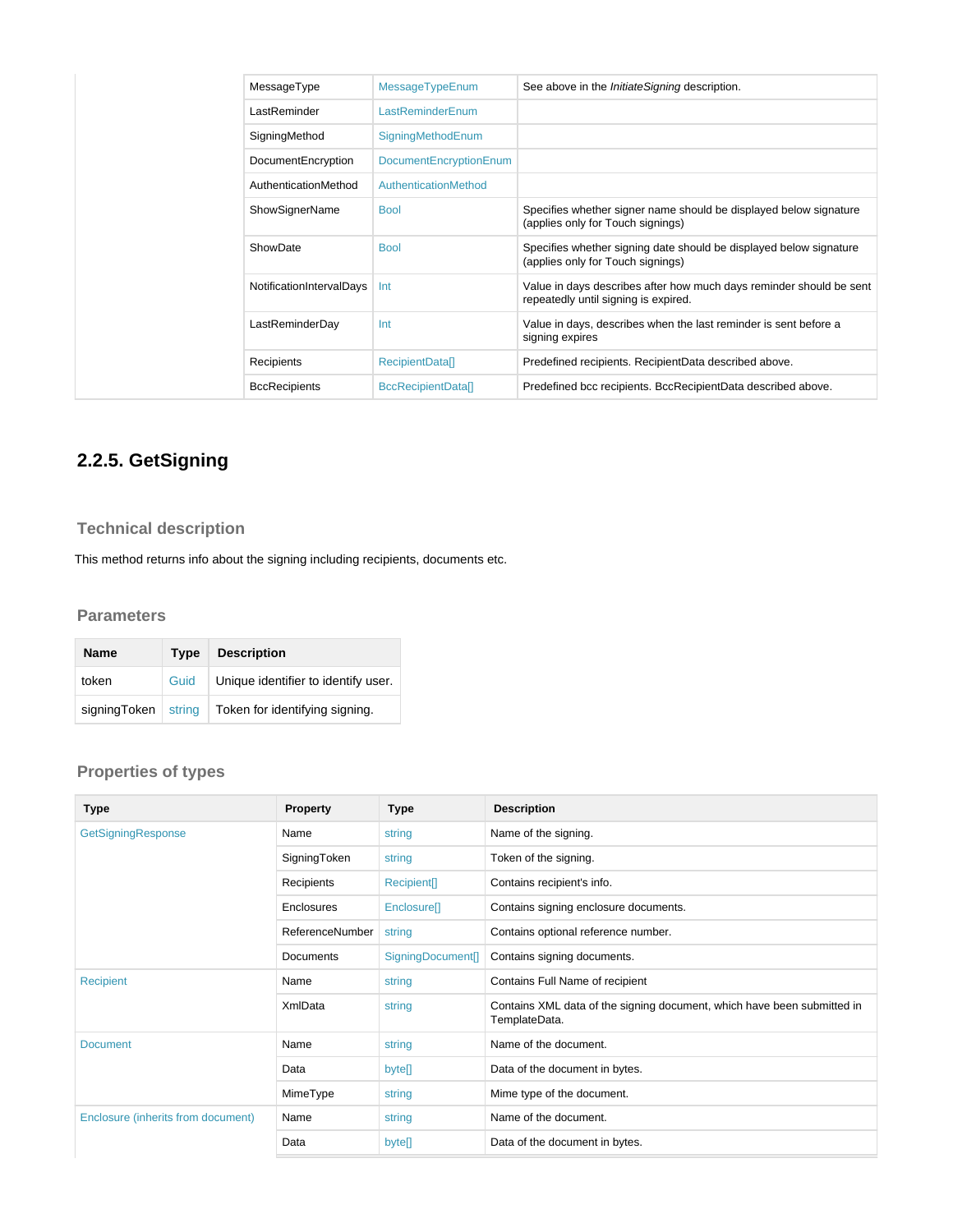| MessageType              | MessageTypeEnum               | See above in the <i>InitiateSigning</i> description.                                                        |
|--------------------------|-------------------------------|-------------------------------------------------------------------------------------------------------------|
| LastReminder             | LastReminderEnum              |                                                                                                             |
| SigningMethod            | SigningMethodEnum             |                                                                                                             |
| DocumentEncryption       | <b>DocumentEncryptionEnum</b> |                                                                                                             |
| AuthenticationMethod     | AuthenticationMethod          |                                                                                                             |
| <b>ShowSignerName</b>    | <b>Bool</b>                   | Specifies whether signer name should be displayed below signature<br>(applies only for Touch signings)      |
| ShowDate                 | <b>Bool</b>                   | Specifies whether signing date should be displayed below signature<br>(applies only for Touch signings)     |
| NotificationIntervalDays | Int                           | Value in days describes after how much days reminder should be sent<br>repeatedly until signing is expired. |
| LastReminderDay          | Int                           | Value in days, describes when the last reminder is sent before a<br>signing expires                         |
| Recipients               | <b>RecipientDatal1</b>        | Predefined recipients. RecipientData described above.                                                       |
| <b>BccRecipients</b>     | <b>BccRecipientDatall</b>     | Predefined bcc recipients. BccRecipientData described above.                                                |

# <span id="page-12-0"></span>**2.2.5. GetSigning**

## <span id="page-12-1"></span>**Technical description**

This method returns info about the signing including recipients, documents etc.

### <span id="page-12-2"></span>**Parameters**

| <b>Name</b>  | Type   | <b>Description</b>                  |
|--------------|--------|-------------------------------------|
| token        | Guid   | Unique identifier to identify user. |
| signingToken | string | Token for identifying signing.      |

<span id="page-12-3"></span>

| Type                               | Property         | Type                    | <b>Description</b>                                                                       |
|------------------------------------|------------------|-------------------------|------------------------------------------------------------------------------------------|
| GetSigningResponse                 | Name             | string                  | Name of the signing.                                                                     |
|                                    | SigningToken     | string                  | Token of the signing.                                                                    |
|                                    | Recipients       | Recipient[]             | Contains recipient's info.                                                               |
|                                    | Enclosures       | Enclosure <sup>[]</sup> | Contains signing enclosure documents.                                                    |
|                                    | ReferenceNumber  | string                  | Contains optional reference number.                                                      |
|                                    | <b>Documents</b> | SigningDocument[]       | Contains signing documents.                                                              |
| Recipient                          | Name             | string                  | Contains Full Name of recipient                                                          |
|                                    | <b>XmlData</b>   | string                  | Contains XML data of the signing document, which have been submitted in<br>TemplateData. |
| <b>Document</b>                    | Name             | string                  | Name of the document.                                                                    |
|                                    | Data             | byte[]                  | Data of the document in bytes.                                                           |
|                                    | MimeType         | string                  | Mime type of the document.                                                               |
| Enclosure (inherits from document) | Name             | string                  | Name of the document.                                                                    |
|                                    | Data             | byte[]                  | Data of the document in bytes.                                                           |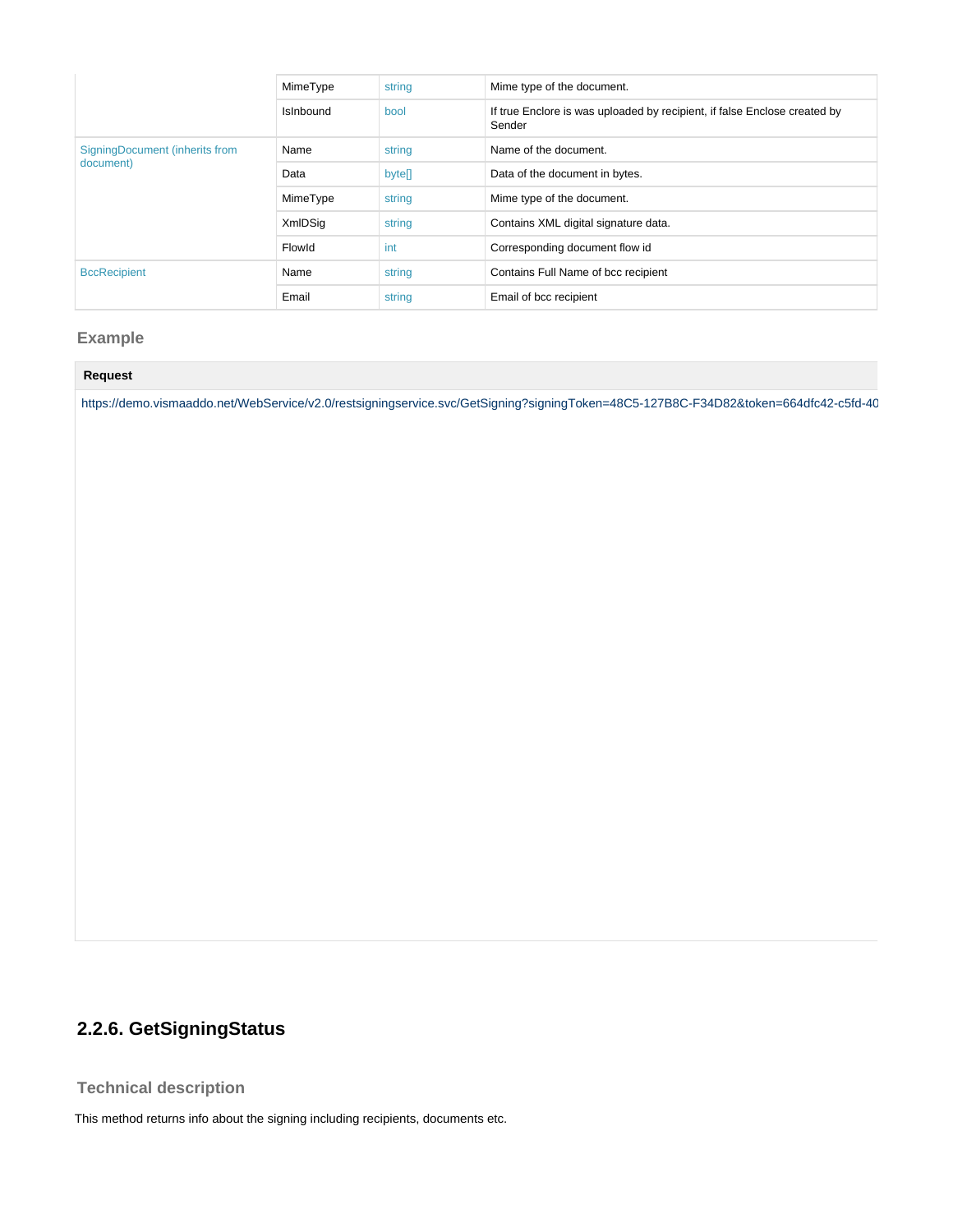|                                | MimeType         | string | Mime type of the document.                                                          |
|--------------------------------|------------------|--------|-------------------------------------------------------------------------------------|
|                                | <b>Islnbound</b> | bool   | If true Enclore is was uploaded by recipient, if false Enclose created by<br>Sender |
| SigningDocument (inherits from | Name             | string | Name of the document.                                                               |
| document)                      | Data             | bytell | Data of the document in bytes.                                                      |
|                                | MimeType         | string | Mime type of the document.                                                          |
|                                | <b>XmlDSig</b>   | string | Contains XML digital signature data.                                                |
|                                | Flowld           | int    | Corresponding document flow id                                                      |
| <b>BccRecipient</b>            | Name             | string | Contains Full Name of bcc recipient                                                 |
|                                | Email            | string | Email of bcc recipient                                                              |

### <span id="page-13-0"></span>**Example**

https://demo.vismaaddo.net/WebService/v2.0/restsigningservice.svc/GetSigning?signingToken=48C5-127B8C-F34D82&token=664dfc42-c5fd-40

## <span id="page-13-1"></span>**2.2.6. GetSigningStatus**

### <span id="page-13-2"></span>**Technical description**

<span id="page-13-3"></span>This method returns info about the signing including recipients, documents etc.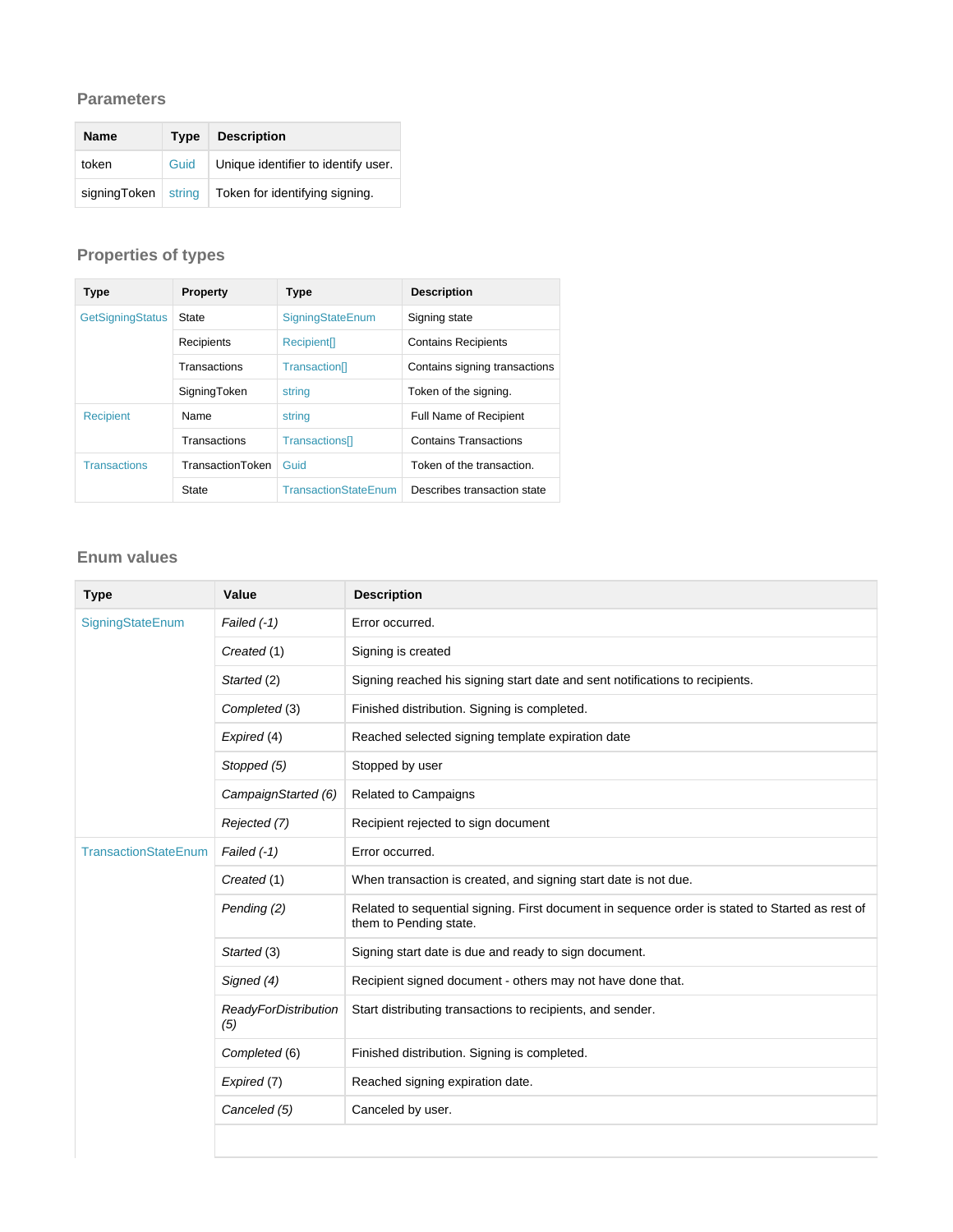### **Parameters**

| <b>Name</b>  | Type   | <b>Description</b>                  |
|--------------|--------|-------------------------------------|
| token        | Guid   | Unique identifier to identify user. |
| signingToken | string | Token for identifying signing.      |

## <span id="page-14-0"></span>**Properties of types**

| Type                    | Property         | Type                        | <b>Description</b>            |
|-------------------------|------------------|-----------------------------|-------------------------------|
| <b>GetSigningStatus</b> | State            | SigningStateEnum            | Signing state                 |
|                         | Recipients       | Recipient <sup>[]</sup>     | <b>Contains Recipients</b>    |
|                         | Transactions     | Transaction                 | Contains signing transactions |
|                         | SigningToken     | string                      | Token of the signing.         |
| <b>Recipient</b>        | Name             | string                      | <b>Full Name of Recipient</b> |
|                         | Transactions     | Transactions <sup>[]</sup>  | <b>Contains Transactions</b>  |
| <b>Transactions</b>     | TransactionToken | Guid                        | Token of the transaction.     |
|                         | <b>State</b>     | <b>TransactionStateEnum</b> | Describes transaction state   |

### <span id="page-14-1"></span>**Enum values**

| <b>Type</b>                 | Value                              | <b>Description</b>                                                                                                        |
|-----------------------------|------------------------------------|---------------------------------------------------------------------------------------------------------------------------|
| SigningStateEnum            | Failed $(-1)$                      | Error occurred.                                                                                                           |
|                             | Created (1)                        | Signing is created                                                                                                        |
|                             | Started (2)                        | Signing reached his signing start date and sent notifications to recipients.                                              |
|                             | Completed (3)                      | Finished distribution. Signing is completed.                                                                              |
|                             | Expired (4)                        | Reached selected signing template expiration date                                                                         |
|                             | Stopped (5)                        | Stopped by user                                                                                                           |
|                             | CampaignStarted (6)                | Related to Campaigns                                                                                                      |
|                             | Rejected (7)                       | Recipient rejected to sign document                                                                                       |
| <b>TransactionStateEnum</b> | Failed $(-1)$                      | Error occurred.                                                                                                           |
|                             | Created (1)                        | When transaction is created, and signing start date is not due.                                                           |
|                             | Pending (2)                        | Related to sequential signing. First document in sequence order is stated to Started as rest of<br>them to Pending state. |
|                             | Started (3)                        | Signing start date is due and ready to sign document.                                                                     |
|                             | Signed (4)                         | Recipient signed document - others may not have done that.                                                                |
|                             | <b>ReadyForDistribution</b><br>(5) | Start distributing transactions to recipients, and sender.                                                                |
|                             | Completed (6)                      | Finished distribution. Signing is completed.                                                                              |
|                             | Expired (7)                        | Reached signing expiration date.                                                                                          |
|                             | Canceled (5)                       | Canceled by user.                                                                                                         |
|                             |                                    |                                                                                                                           |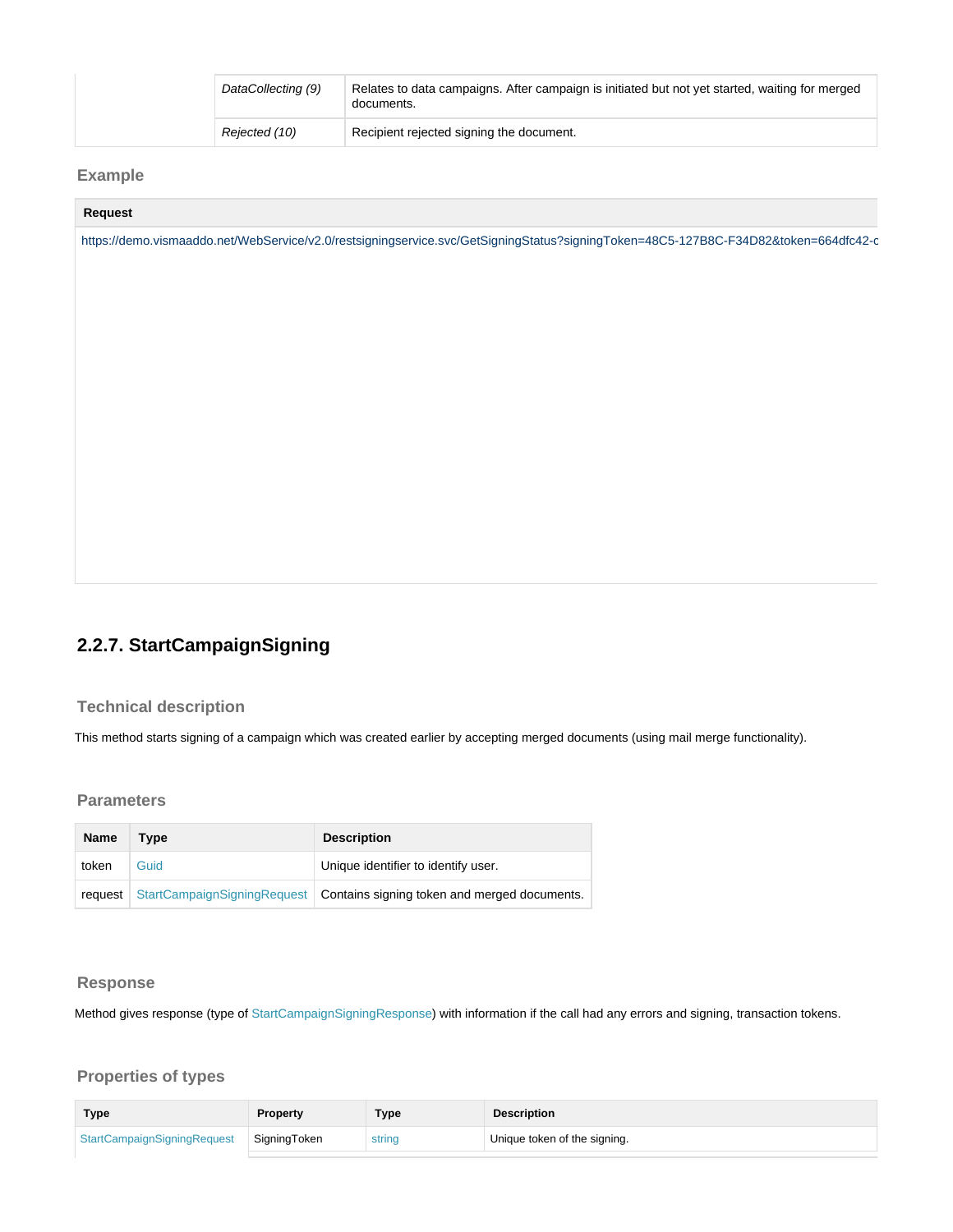| DataCollecting (9) | Relates to data campaigns. After campaign is initiated but not yet started, waiting for merged<br>documents. |
|--------------------|--------------------------------------------------------------------------------------------------------------|
| Rejected (10)      | Recipient rejected signing the document.                                                                     |

## <span id="page-15-0"></span>**Example**

#### **Request**

https://demo.vismaaddo.net/WebService/v2.0/restsigningservice.svc/GetSigningStatus?signingToken=48C5-127B8C-F34D82&token=664dfc42-c

## <span id="page-15-1"></span>**2.2.7. StartCampaignSigning**

#### <span id="page-15-2"></span>**Technical description**

This method starts signing of a campaign which was created earlier by accepting merged documents (using mail merge functionality).

#### <span id="page-15-3"></span>**Parameters**

| <b>Name</b> | Type | <b>Description</b>                                                               |
|-------------|------|----------------------------------------------------------------------------------|
| token       | Guid | Unique identifier to identify user.                                              |
|             |      | request StartCampaignSigningRequest Contains signing token and merged documents. |

#### <span id="page-15-4"></span>**Response**

Method gives response (type of StartCampaignSigningResponse) with information if the call had any errors and signing, transaction tokens.

<span id="page-15-5"></span>

| <b>Type</b>                 | <b>Property</b> | Type   | <b>Description</b>           |
|-----------------------------|-----------------|--------|------------------------------|
| StartCampaignSigningRequest | SigningToken    | string | Unique token of the signing. |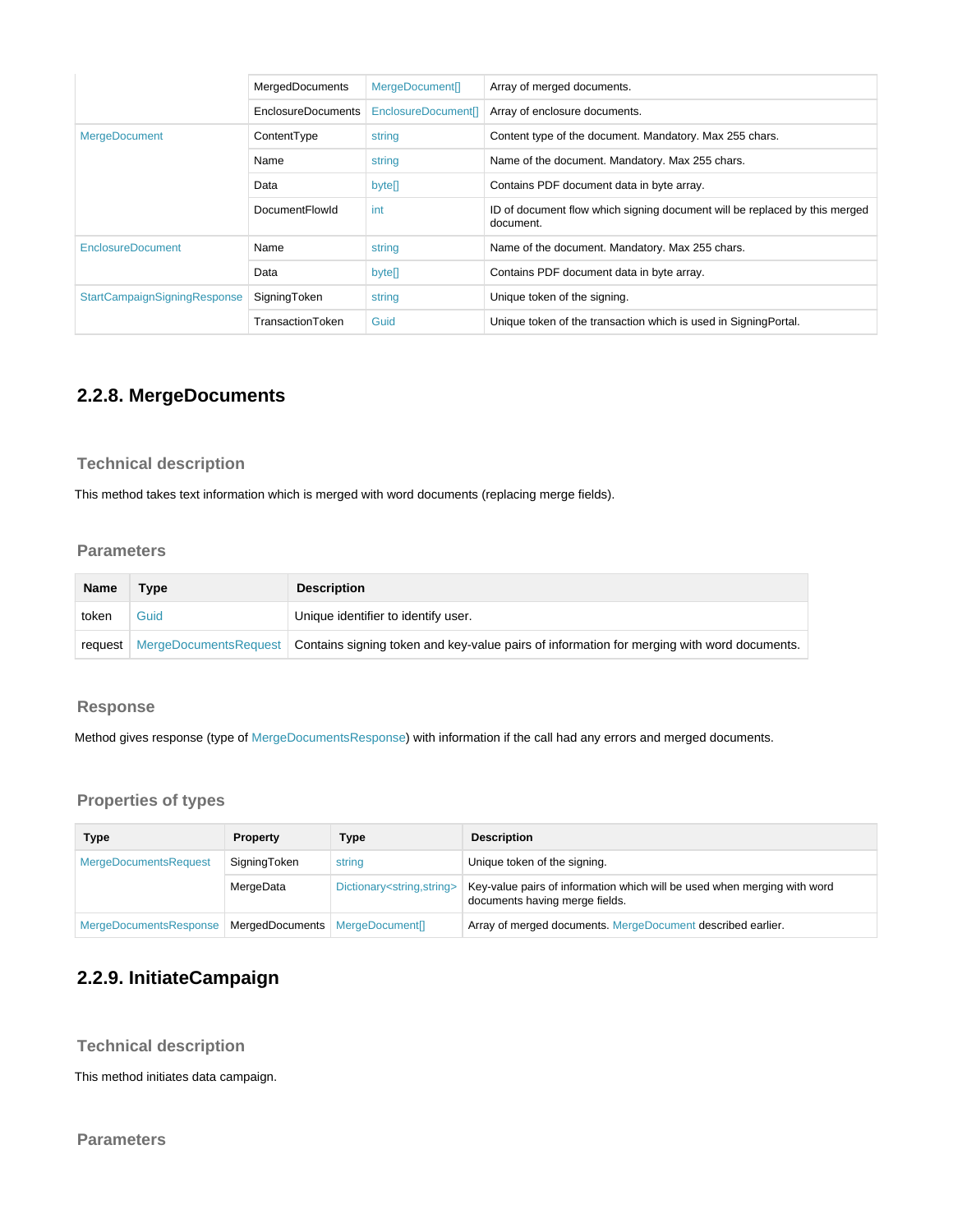|                                     | <b>MergedDocuments</b> | MergeDocument[]     | Array of merged documents.                                                              |
|-------------------------------------|------------------------|---------------------|-----------------------------------------------------------------------------------------|
|                                     | EnclosureDocuments     | EnclosureDocument[] | Array of enclosure documents.                                                           |
| <b>MergeDocument</b>                | ContentType            | string              | Content type of the document. Mandatory. Max 255 chars.                                 |
|                                     | Name                   | string              | Name of the document. Mandatory. Max 255 chars.                                         |
|                                     | Data                   | bytell              | Contains PDF document data in byte array.                                               |
|                                     | <b>DocumentFlowId</b>  | int                 | ID of document flow which signing document will be replaced by this merged<br>document. |
| <b>EnclosureDocument</b>            | Name                   | string              | Name of the document. Mandatory. Max 255 chars.                                         |
|                                     | Data                   | bytell              | Contains PDF document data in byte array.                                               |
| <b>StartCampaignSigningResponse</b> | SigningToken           | string              | Unique token of the signing.                                                            |
|                                     | TransactionToken       | Guid                | Unique token of the transaction which is used in SigningPortal.                         |

## <span id="page-16-0"></span>**2.2.8. MergeDocuments**

### <span id="page-16-1"></span>**Technical description**

This method takes text information which is merged with word documents (replacing merge fields).

### <span id="page-16-2"></span>**Parameters**

| Name  | Type | <b>Description</b>                                                                                                           |
|-------|------|------------------------------------------------------------------------------------------------------------------------------|
| token | Guid | Unique identifier to identify user.                                                                                          |
|       |      | request   MergeDocumentsRequest   Contains signing token and key-value pairs of information for merging with word documents. |

#### <span id="page-16-3"></span>**Response**

Method gives response (type of MergeDocumentsResponse) with information if the call had any errors and merged documents.

### <span id="page-16-4"></span>**Properties of types**

| Type                         | <b>Property</b>                   | Type                                       | <b>Description</b>                                                                                         |
|------------------------------|-----------------------------------|--------------------------------------------|------------------------------------------------------------------------------------------------------------|
| <b>MergeDocumentsRequest</b> | SigningToken                      | string                                     | Unique token of the signing.                                                                               |
|                              | MergeData                         | Dictionary <string,string></string,string> | Key-value pairs of information which will be used when merging with word<br>documents having merge fields. |
| MergeDocumentsResponse       | MergedDocuments   MergeDocument[] |                                            | Array of merged documents. MergeDocument described earlier.                                                |

## <span id="page-16-5"></span>**2.2.9. InitiateCampaign**

<span id="page-16-6"></span>**Technical description**

This method initiates data campaign.

<span id="page-16-7"></span>**Parameters**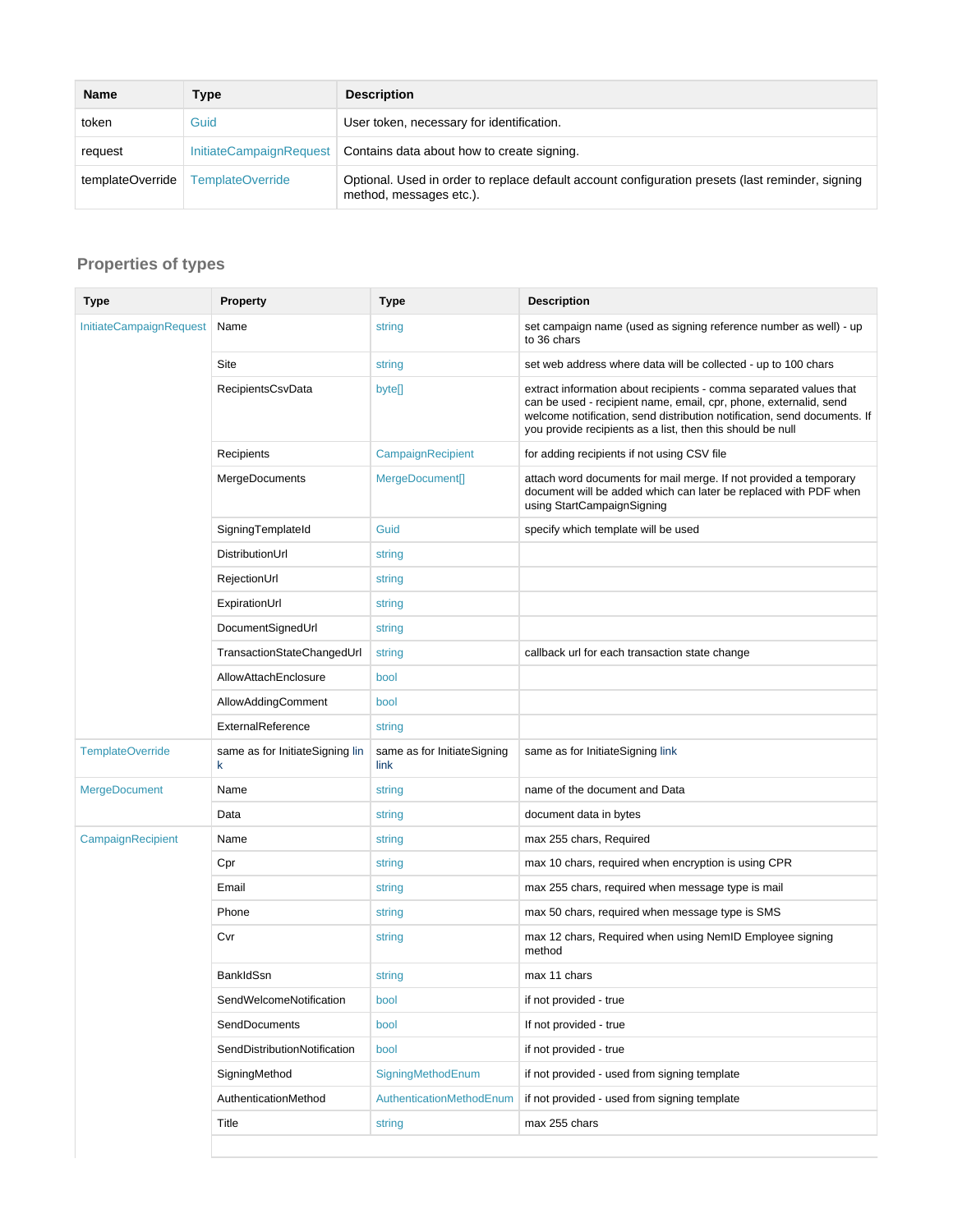| <b>Name</b>      | Type                    | <b>Description</b>                                                                                                          |
|------------------|-------------------------|-----------------------------------------------------------------------------------------------------------------------------|
| token            | Guid                    | User token, necessary for identification.                                                                                   |
| request          |                         | InitiateCampaignRequest   Contains data about how to create signing.                                                        |
| templateOverride | <b>TemplateOverride</b> | Optional. Used in order to replace default account configuration presets (last reminder, signing<br>method, messages etc.). |

<span id="page-17-0"></span>

| <b>Type</b>             | <b>Property</b>                      | Type                                | <b>Description</b>                                                                                                                                                                                                                                                                |
|-------------------------|--------------------------------------|-------------------------------------|-----------------------------------------------------------------------------------------------------------------------------------------------------------------------------------------------------------------------------------------------------------------------------------|
| InitiateCampaignRequest | Name                                 | string                              | set campaign name (used as signing reference number as well) - up<br>to 36 chars                                                                                                                                                                                                  |
|                         | Site                                 | string                              | set web address where data will be collected - up to 100 chars                                                                                                                                                                                                                    |
|                         | RecipientsCsvData                    | byte[]                              | extract information about recipients - comma separated values that<br>can be used - recipient name, email, cpr, phone, externalid, send<br>welcome notification, send distribution notification, send documents. If<br>you provide recipients as a list, then this should be null |
|                         | Recipients                           | CampaignRecipient                   | for adding recipients if not using CSV file                                                                                                                                                                                                                                       |
|                         | MergeDocuments                       | MergeDocument[]                     | attach word documents for mail merge. If not provided a temporary<br>document will be added which can later be replaced with PDF when<br>using StartCampaignSigning                                                                                                               |
|                         | SigningTemplateId                    | Guid                                | specify which template will be used                                                                                                                                                                                                                                               |
|                         | DistributionUrl                      | string                              |                                                                                                                                                                                                                                                                                   |
|                         | RejectionUrl                         | string                              |                                                                                                                                                                                                                                                                                   |
|                         | ExpirationUrl                        | string                              |                                                                                                                                                                                                                                                                                   |
|                         | DocumentSignedUrl                    | string                              |                                                                                                                                                                                                                                                                                   |
|                         | TransactionStateChangedUrl           | string                              | callback url for each transaction state change                                                                                                                                                                                                                                    |
|                         | AllowAttachEnclosure                 | bool                                |                                                                                                                                                                                                                                                                                   |
|                         | AllowAddingComment                   | bool                                |                                                                                                                                                                                                                                                                                   |
|                         | ExternalReference                    | string                              |                                                                                                                                                                                                                                                                                   |
| <b>TemplateOverride</b> | same as for InitiateSigning lin<br>k | same as for InitiateSigning<br>link | same as for InitiateSigning link                                                                                                                                                                                                                                                  |
| <b>MergeDocument</b>    | Name                                 | string                              | name of the document and Data                                                                                                                                                                                                                                                     |
|                         | Data                                 | string                              | document data in bytes                                                                                                                                                                                                                                                            |
| CampaignRecipient       | Name                                 | string                              | max 255 chars, Required                                                                                                                                                                                                                                                           |
|                         | Cpr                                  | string                              | max 10 chars, required when encryption is using CPR                                                                                                                                                                                                                               |
|                         | Email                                | string                              | max 255 chars, required when message type is mail                                                                                                                                                                                                                                 |
|                         | Phone                                | string                              | max 50 chars, required when message type is SMS                                                                                                                                                                                                                                   |
|                         | Cvr                                  | string                              | max 12 chars, Required when using NemID Employee signing<br>method                                                                                                                                                                                                                |
|                         | <b>BankIdSsn</b>                     | string                              | max 11 chars                                                                                                                                                                                                                                                                      |
|                         | SendWelcomeNotification              | bool                                | if not provided - true                                                                                                                                                                                                                                                            |
|                         | SendDocuments                        | bool                                | If not provided - true                                                                                                                                                                                                                                                            |
|                         | SendDistributionNotification         | bool                                | if not provided - true                                                                                                                                                                                                                                                            |
|                         | SigningMethod                        | SigningMethodEnum                   | if not provided - used from signing template                                                                                                                                                                                                                                      |
|                         | AuthenticationMethod                 | AuthenticationMethodEnum            | if not provided - used from signing template                                                                                                                                                                                                                                      |
|                         | Title                                | string                              | max 255 chars                                                                                                                                                                                                                                                                     |
|                         |                                      |                                     |                                                                                                                                                                                                                                                                                   |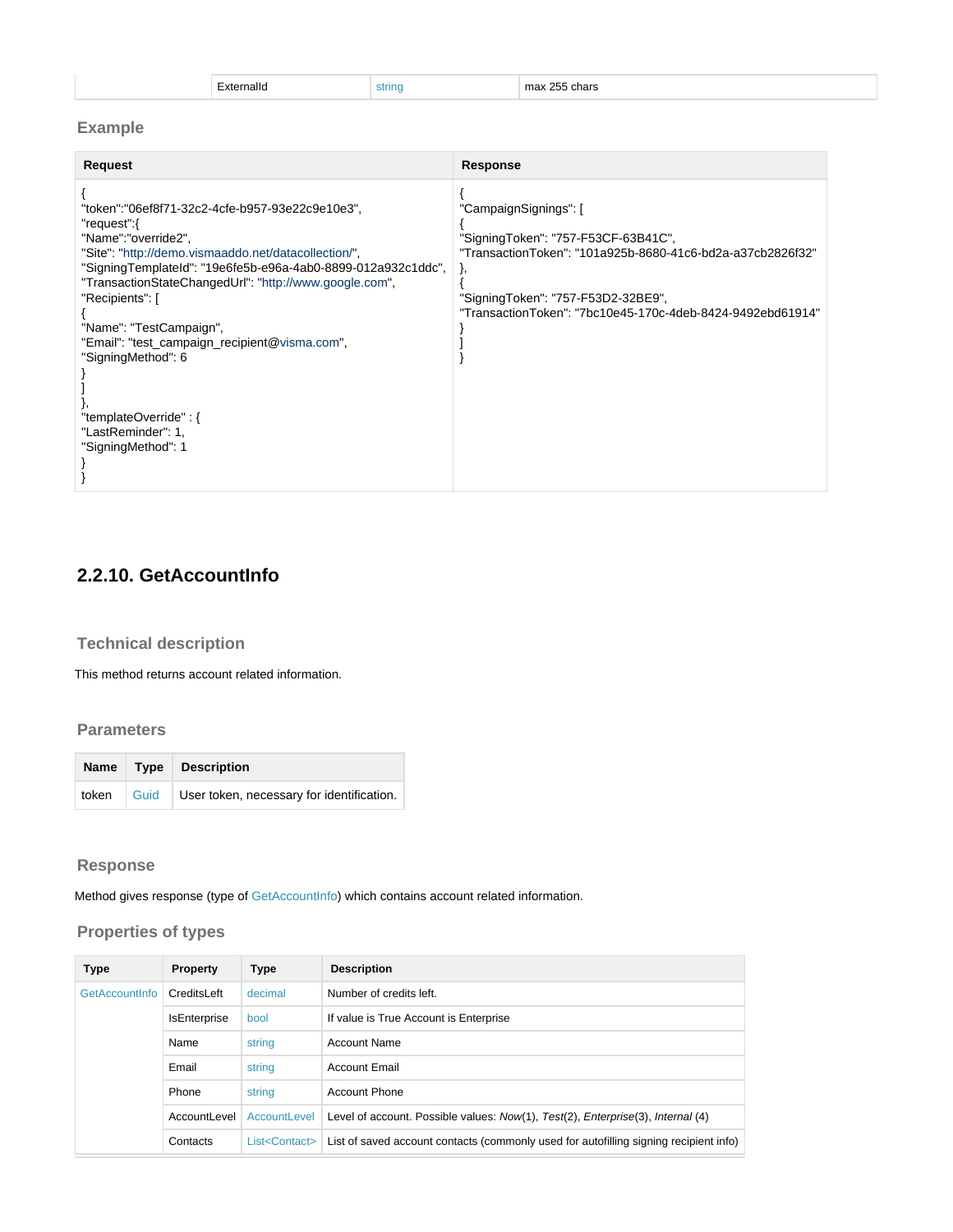| Externalld |
|------------|
|------------|

extring max 255 chars

### <span id="page-18-0"></span>**Example**

| Request                                                                                                                                                                                                                                                                                                                                                                                                                                                           | Response                                                                                                                                                                                                                             |
|-------------------------------------------------------------------------------------------------------------------------------------------------------------------------------------------------------------------------------------------------------------------------------------------------------------------------------------------------------------------------------------------------------------------------------------------------------------------|--------------------------------------------------------------------------------------------------------------------------------------------------------------------------------------------------------------------------------------|
| "token":"06ef8f71-32c2-4cfe-b957-93e22c9e10e3",<br>"request":{<br>"Name":"override2",<br>"Site": "http://demo.vismaaddo.net/datacollection/",<br>"SigningTemplateId": "19e6fe5b-e96a-4ab0-8899-012a932c1ddc",<br>"TransactionStateChangedUrl": "http://www.google.com",<br>"Recipients": [<br>"Name": "TestCampaign",<br>"Email": "test_campaign_recipient@visma.com",<br>"SigningMethod": 6<br>"templateOverride": {<br>"LastReminder": 1,<br>"SigningMethod": 1 | "CampaignSignings": [<br>"SigningToken": "757-F53CF-63B41C",<br>"TransactionToken": "101a925b-8680-41c6-bd2a-a37cb2826f32"<br>λ,<br>"SigningToken": "757-F53D2-32BE9",<br>"TransactionToken": "7bc10e45-170c-4deb-8424-9492ebd61914" |

## <span id="page-18-1"></span>**2.2.10. GetAccountInfo**

### <span id="page-18-2"></span>**Technical description**

This method returns account related information.

### <span id="page-18-3"></span>**Parameters**

|  | Name   Type   Description                                |
|--|----------------------------------------------------------|
|  | token   Guid   User token, necessary for identification. |

### <span id="page-18-4"></span>**Response**

<span id="page-18-5"></span>Method gives response (type of GetAccountInfo) which contains account related information.

| <b>Type</b>    | Property            | <b>Type</b>              | <b>Description</b>                                                                    |
|----------------|---------------------|--------------------------|---------------------------------------------------------------------------------------|
| GetAccountInfo | CreditsLeft         | decimal                  | Number of credits left.                                                               |
|                | <b>IsEnterprise</b> | bool                     | If value is True Account is Enterprise                                                |
|                | Name                | string                   | <b>Account Name</b>                                                                   |
|                | Email               | string                   | <b>Account Email</b>                                                                  |
|                | Phone               | string                   | <b>Account Phone</b>                                                                  |
|                | AccountLevel        | AccountLevel             | Level of account. Possible values: Now(1), Test(2), Enterprise(3), Internal (4)       |
|                | Contacts            | List <contact></contact> | List of saved account contacts (commonly used for autofilling signing recipient info) |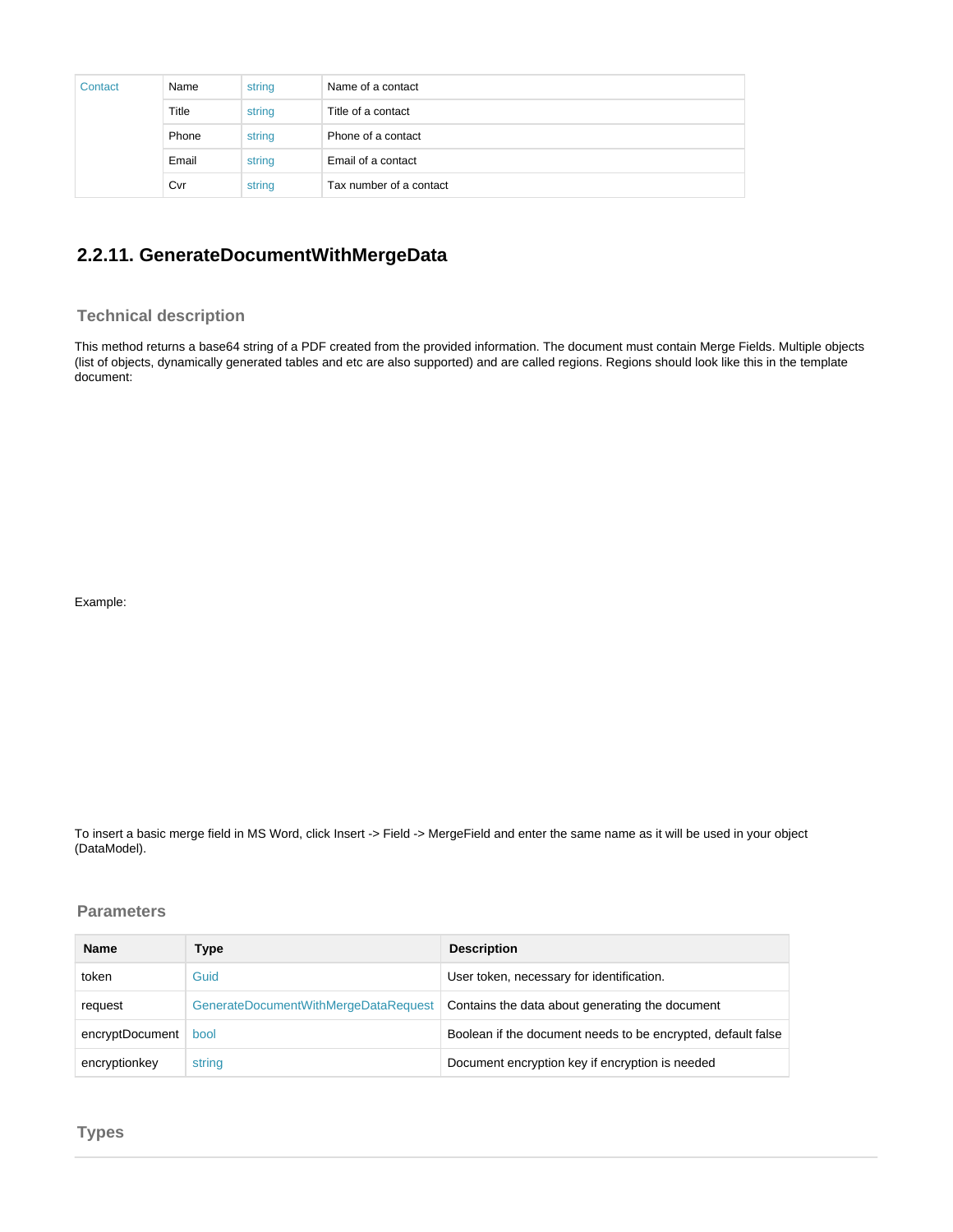| Contact | Name  | string | Name of a contact       |
|---------|-------|--------|-------------------------|
|         | Title | string | Title of a contact      |
|         | Phone | string | Phone of a contact      |
|         | Email | string | Email of a contact      |
|         | Cvr   | string | Tax number of a contact |

## <span id="page-19-0"></span>**2.2.11. GenerateDocumentWithMergeData**

#### <span id="page-19-1"></span>**Technical description**

This method returns a base64 string of a PDF created from the provided information. The document must contain Merge Fields. Multiple objects (list of objects, dynamically generated tables and etc are also supported) and are called regions. Regions should look like this in the template document:

Example:

To insert a basic merge field in MS Word, click Insert -> Field -> MergeField and enter the same name as it will be used in your object (DataModel).

#### <span id="page-19-2"></span>**Parameters**

<span id="page-19-3"></span>

| <b>Name</b>     | Type                                 | <b>Description</b>                                           |
|-----------------|--------------------------------------|--------------------------------------------------------------|
| token           | Guid                                 | User token, necessary for identification.                    |
| request         | GenerateDocumentWithMergeDataRequest | Contains the data about generating the document              |
| encryptDocument | bool                                 | Boolean if the document needs to be encrypted, default false |
| encryptionkey   | string                               | Document encryption key if encryption is needed              |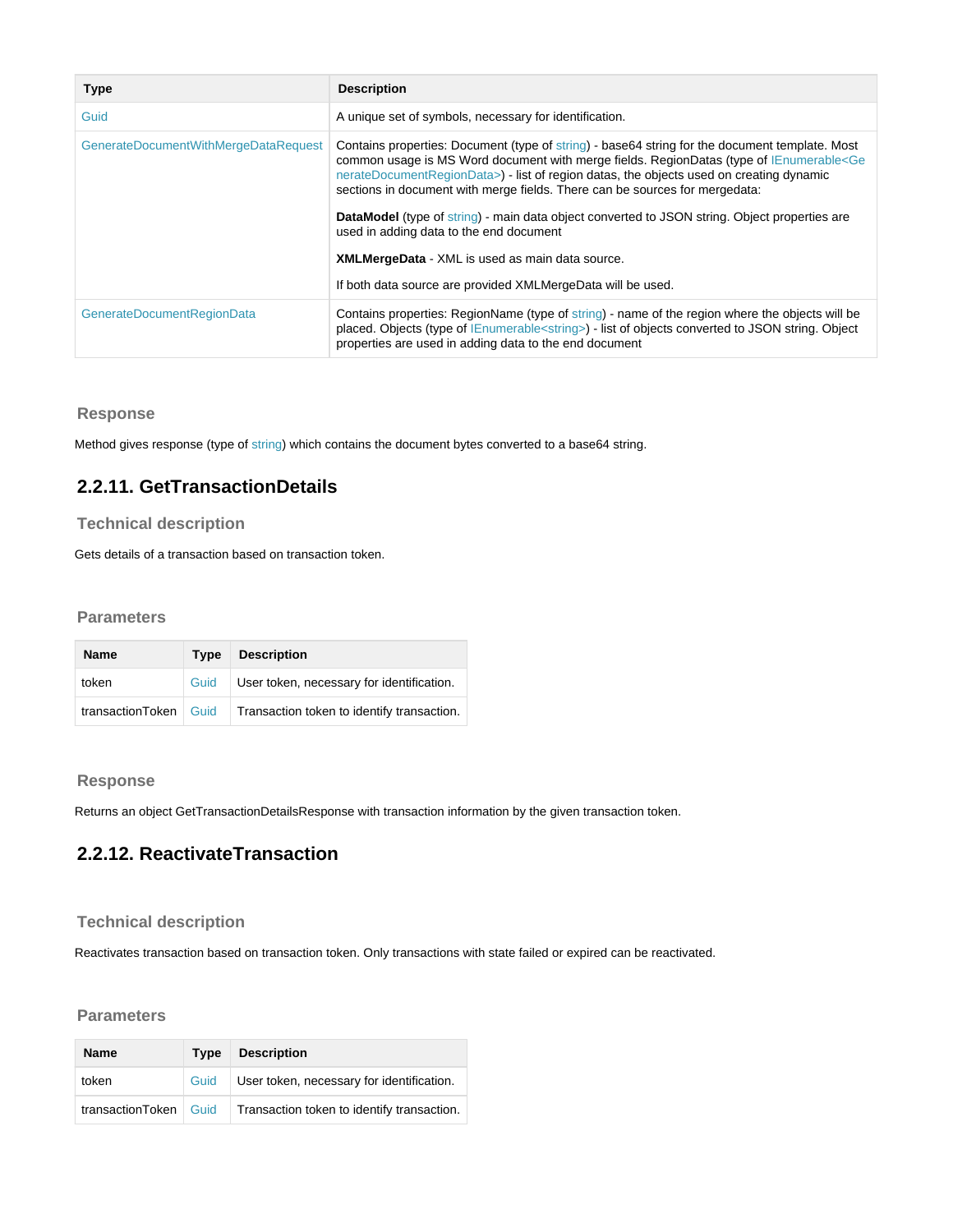| <b>Type</b>                          | <b>Description</b>                                                                                                                                                                                                                                                                                                                                                                |
|--------------------------------------|-----------------------------------------------------------------------------------------------------------------------------------------------------------------------------------------------------------------------------------------------------------------------------------------------------------------------------------------------------------------------------------|
| Guid                                 | A unique set of symbols, necessary for identification.                                                                                                                                                                                                                                                                                                                            |
| GenerateDocumentWithMergeDataRequest | Contains properties: Document (type of string) - base 64 string for the document template. Most<br>common usage is MS Word document with merge fields. RegionDatas (type of IEnumerable <ge<br>nerateDocumentRegionData&gt;) - list of region datas, the objects used on creating dynamic<br/>sections in document with merge fields. There can be sources for mergedata:</ge<br> |
|                                      | DataModel (type of string) - main data object converted to JSON string. Object properties are<br>used in adding data to the end document                                                                                                                                                                                                                                          |
|                                      | <b>XMLMergeData</b> - XML is used as main data source.                                                                                                                                                                                                                                                                                                                            |
|                                      | If both data source are provided XMLMergeData will be used.                                                                                                                                                                                                                                                                                                                       |
| <b>GenerateDocumentRegionData</b>    | Contains properties: RegionName (type of string) - name of the region where the objects will be<br>placed. Objects (type of IEnumerable <string>) - list of objects converted to JSON string. Object<br/>properties are used in adding data to the end document</string>                                                                                                          |

#### <span id="page-20-0"></span>**Response**

Method gives response (type of string) which contains the document bytes converted to a base64 string.

## <span id="page-20-1"></span>**2.2.11. GetTransactionDetails**

### <span id="page-20-2"></span>**Technical description**

Gets details of a transaction based on transaction token.

#### <span id="page-20-3"></span>**Parameters**

| <b>Name</b>             | Tvpe | <b>Description</b>                         |
|-------------------------|------|--------------------------------------------|
| token                   | Guid | User token, necessary for identification.  |
| transactionToken   Guid |      | Transaction token to identify transaction. |

#### <span id="page-20-4"></span>**Response**

Returns an object GetTransactionDetailsResponse with transaction information by the given transaction token.

## <span id="page-20-5"></span>**2.2.12. ReactivateTransaction**

### <span id="page-20-6"></span>**Technical description**

Reactivates transaction based on transaction token. Only transactions with state failed or expired can be reactivated.

#### <span id="page-20-7"></span>**Parameters**

<span id="page-20-8"></span>

| <b>Name</b>             | Tvpe | <b>Description</b>                         |
|-------------------------|------|--------------------------------------------|
| token                   | Guid | User token, necessary for identification.  |
| transactionToken   Guid |      | Transaction token to identify transaction. |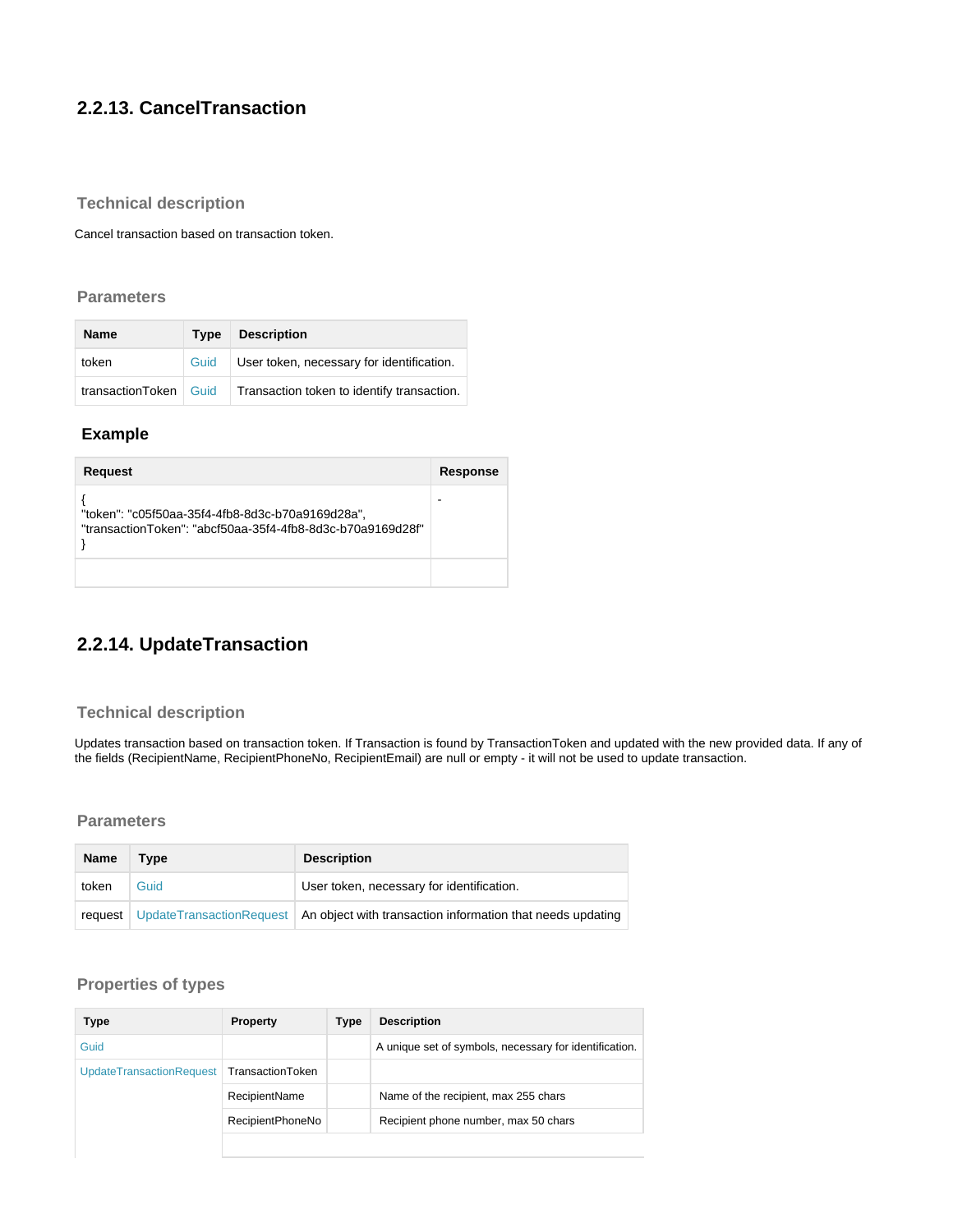## **2.2.13. CancelTransaction**

### <span id="page-21-0"></span>**Technical description**

Cancel transaction based on transaction token.

#### <span id="page-21-1"></span>**Parameters**

| Name                    |      | Type Description                           |
|-------------------------|------|--------------------------------------------|
| token                   | Guid | User token, necessary for identification.  |
| transactionToken   Guid |      | Transaction token to identify transaction. |

### <span id="page-21-2"></span> **Example**

| Request                                                                                                        | Response |
|----------------------------------------------------------------------------------------------------------------|----------|
| "token": "c05f50aa-35f4-4fb8-8d3c-b70a9169d28a",<br>"transactionToken": "abcf50aa-35f4-4fb8-8d3c-b70a9169d28f" |          |
|                                                                                                                |          |

## <span id="page-21-3"></span>**2.2.14. UpdateTransaction**

### <span id="page-21-4"></span>**Technical description**

Updates transaction based on transaction token. If Transaction is found by TransactionToken and updated with the new provided data. If any of the fields (RecipientName, RecipientPhoneNo, RecipientEmail) are null or empty - it will not be used to update transaction.

#### <span id="page-21-5"></span>**Parameters**

| Name    | Type | <b>Description</b>                                                                    |
|---------|------|---------------------------------------------------------------------------------------|
| token   | Guid | User token, necessary for identification.                                             |
| request |      | UpdateTransactionRequest   An object with transaction information that needs updating |

<span id="page-21-6"></span>

| Type                            | <b>Property</b>      | Type | <b>Description</b>                                     |
|---------------------------------|----------------------|------|--------------------------------------------------------|
| Guid                            |                      |      | A unique set of symbols, necessary for identification. |
| <b>UpdateTransactionRequest</b> | TransactionToken     |      |                                                        |
|                                 | <b>RecipientName</b> |      | Name of the recipient, max 255 chars                   |
|                                 | RecipientPhoneNo     |      | Recipient phone number, max 50 chars                   |
|                                 |                      |      |                                                        |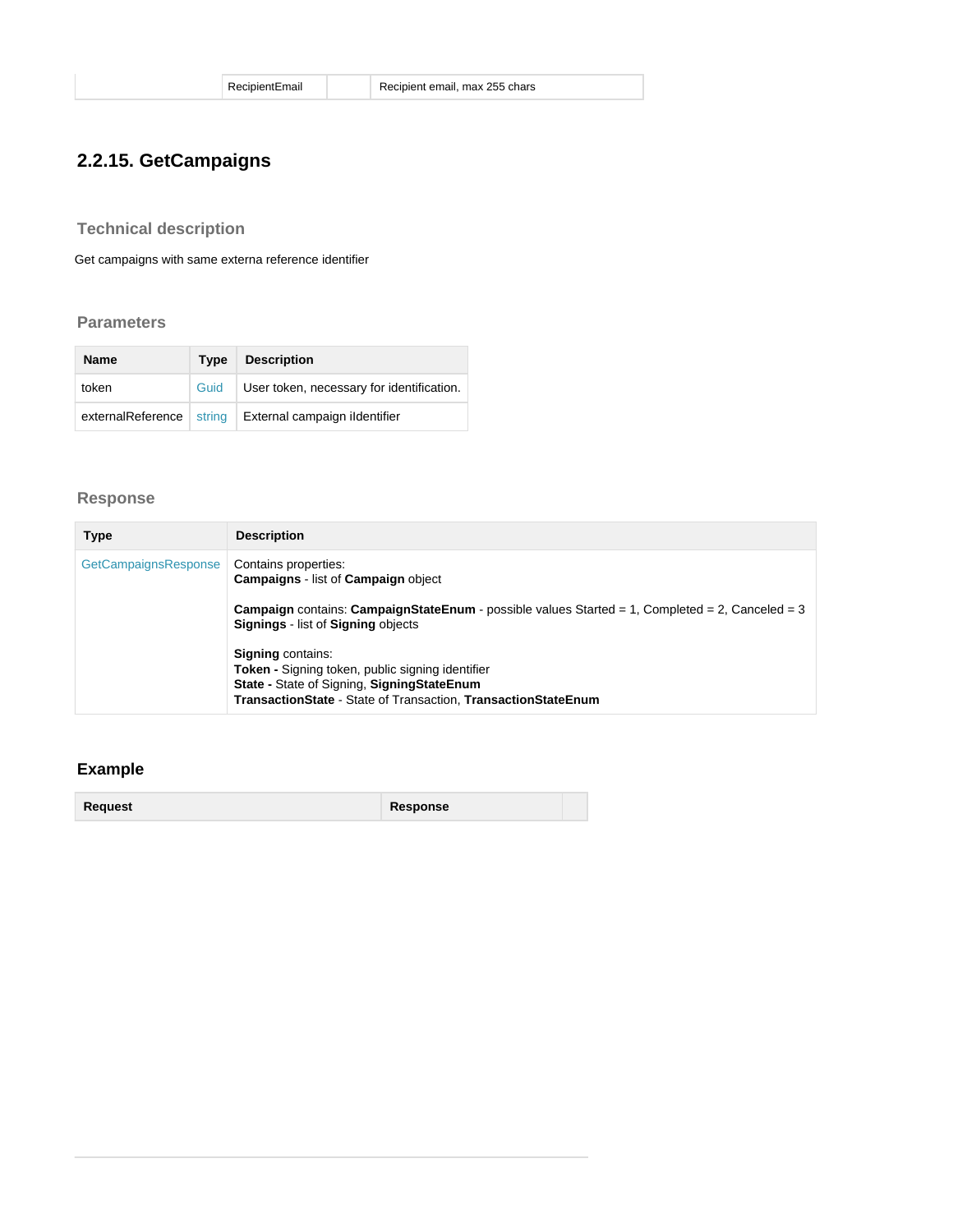## <span id="page-22-0"></span>**2.2.15. GetCampaigns**

<span id="page-22-1"></span>**Technical description**

Get campaigns with same externa reference identifier

### <span id="page-22-2"></span>**Parameters**

| <b>Name</b> | Type | <b>Description</b>                                     |
|-------------|------|--------------------------------------------------------|
| token       | Guid | User token, necessary for identification.              |
|             |      | externalReference string External campaign ildentifier |

### <span id="page-22-3"></span>**Response**

| <b>Type</b>          | <b>Description</b>                                                                                                                                                                                   |
|----------------------|------------------------------------------------------------------------------------------------------------------------------------------------------------------------------------------------------|
| GetCampaignsResponse | Contains properties:<br><b>Campaigns - list of Campaign object</b>                                                                                                                                   |
|                      | <b>Campaign</b> contains: <b>CampaignStateEnum</b> - possible values Started = 1, Completed = 2, Canceled = 3<br><b>Signings</b> - list of <b>Signing</b> objects                                    |
|                      | <b>Signing contains:</b><br><b>Token - Signing token, public signing identifier</b><br>State - State of Signing, Signing State Enum<br>TransactionState - State of Transaction, TransactionStateEnum |

### <span id="page-22-4"></span>**Example**

**Request Response**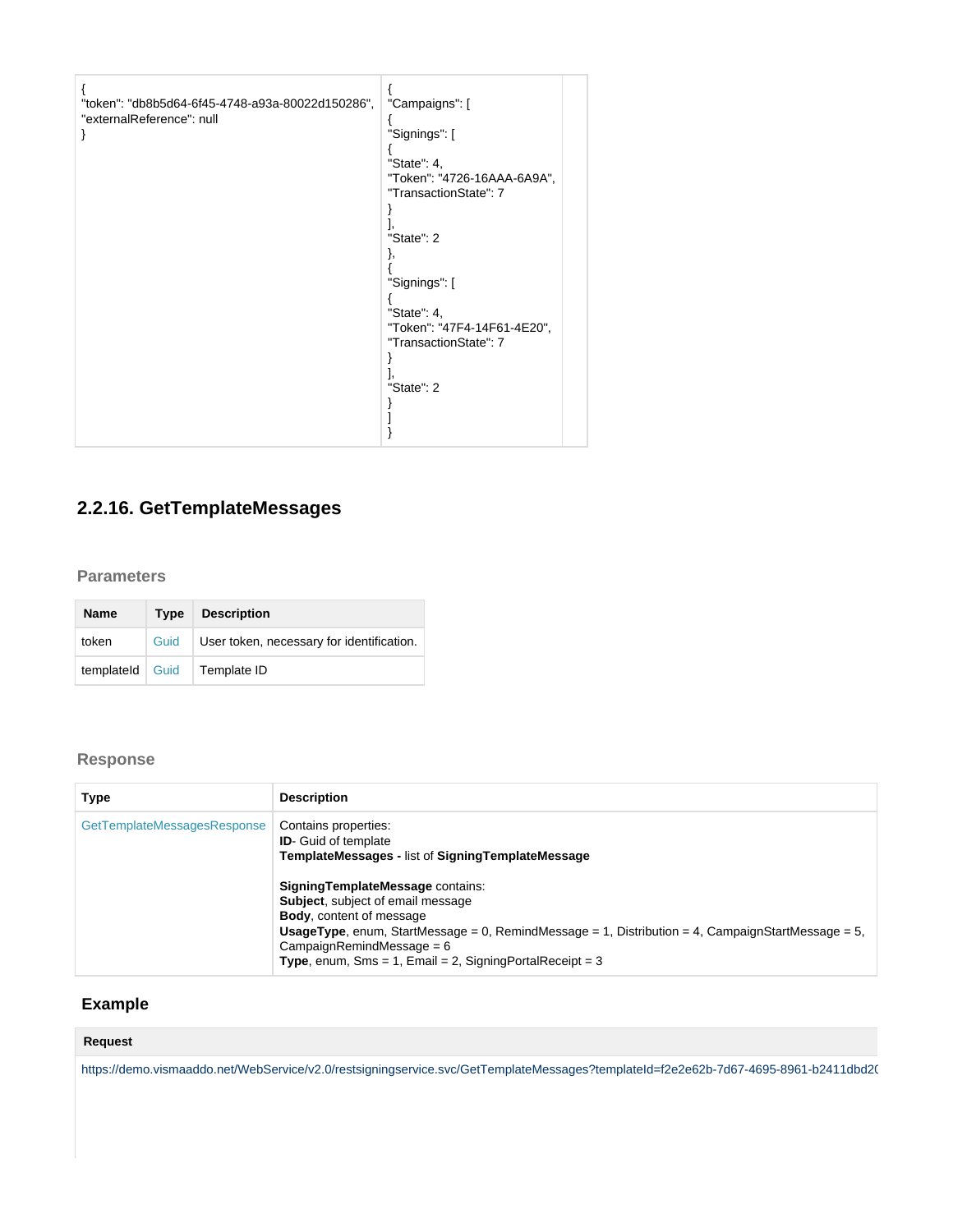| "token": "db8b5d64-6f45-4748-a93a-80022d150286",<br>"externalReference": null | "Campaigns": [<br>"Signings": [<br>"State": 4,<br>"Token": "4726-16AAA-6A9A",<br>"TransactionState": 7<br>"State": 2<br>ì,<br>"Signings": [<br>"State": 4,<br>"Token": "47F4-14F61-4E20",<br>"TransactionState": 7<br>"State": 2 |
|-------------------------------------------------------------------------------|----------------------------------------------------------------------------------------------------------------------------------------------------------------------------------------------------------------------------------|
|                                                                               |                                                                                                                                                                                                                                  |

## <span id="page-23-0"></span>**2.2.16. GetTemplateMessages**

### <span id="page-23-1"></span>**Parameters**

| <b>Name</b>       | Type | <b>Description</b>                        |
|-------------------|------|-------------------------------------------|
| token             | Guid | User token, necessary for identification. |
| templateld   Guid |      | Template ID                               |

## <span id="page-23-2"></span>**Response**

| Type                        | <b>Description</b>                                                                                                                                                                                                                                                                                                                |
|-----------------------------|-----------------------------------------------------------------------------------------------------------------------------------------------------------------------------------------------------------------------------------------------------------------------------------------------------------------------------------|
| GetTemplateMessagesResponse | Contains properties:<br><b>ID-</b> Guid of template<br><b>TemplateMessages - list of SigningTemplateMessage</b>                                                                                                                                                                                                                   |
|                             | Signing Template Message contains:<br><b>Subject, subject of email message</b><br><b>Body</b> , content of message<br><b>UsageType</b> , enum, StartMessage = 0, RemindMessage = 1, Distribution = 4, CampaignStartMessage = 5,<br>$CammainRemindMessage = 6$<br><b>Type</b> , enum, Sms = 1, Email = 2, SigningPortalReceipt = 3 |

## <span id="page-23-3"></span> **Example**

### **Request**

https://demo.vismaaddo.net/WebService/v2.0/restsigningservice.svc/GetTemplateMessages?templateId=f2e2e62b-7d67-4695-8961-b2411dbd2(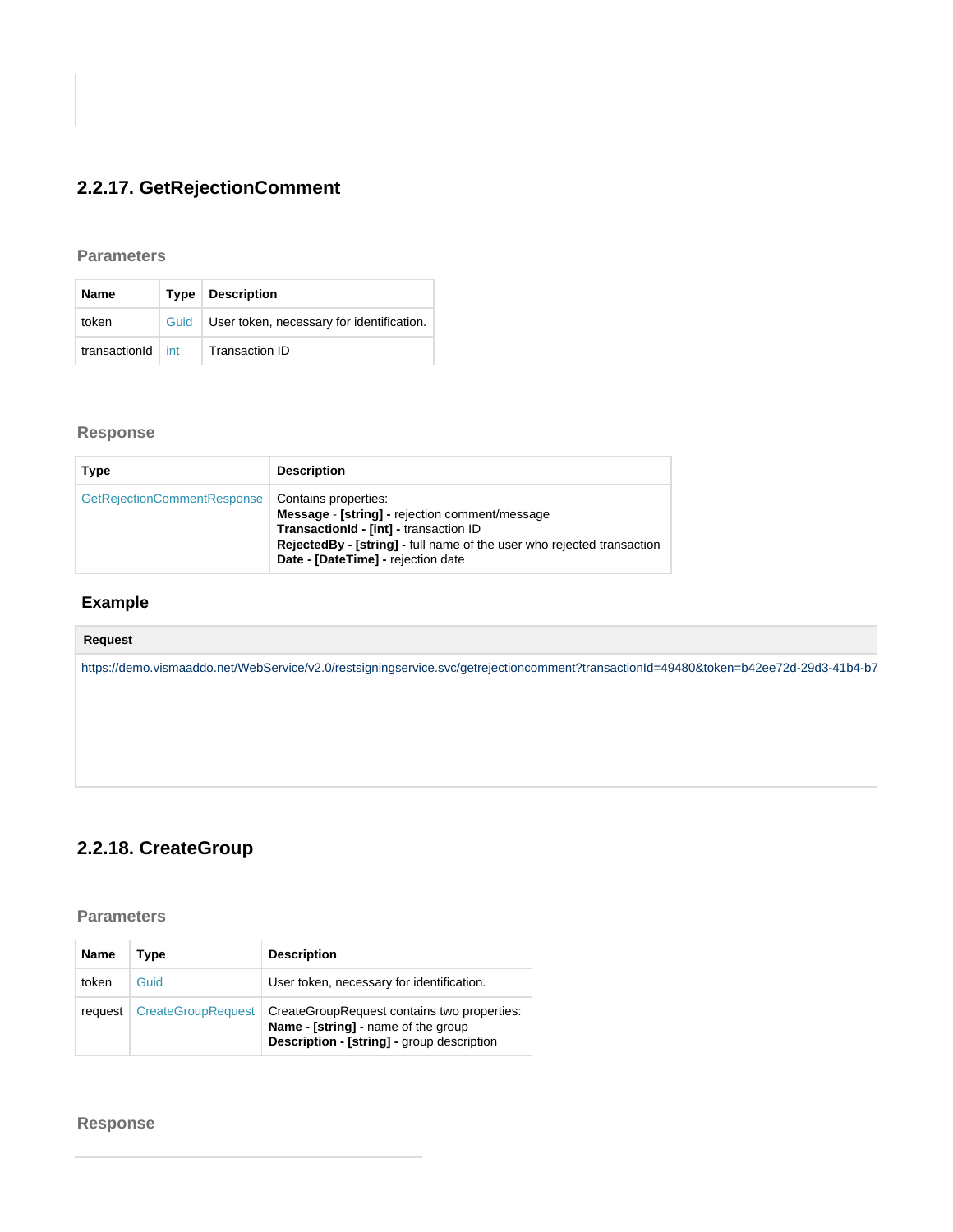# <span id="page-25-0"></span>**2.2.17. GetRejectionComment**

### <span id="page-25-1"></span>**Parameters**

| <b>Name</b>   |      | Type Description                          |
|---------------|------|-------------------------------------------|
| token         | Guid | User token, necessary for identification. |
| transactionId | int  | Transaction ID                            |

## <span id="page-25-2"></span>**Response**

| Type                        | <b>Description</b>                                                                                                                                                                                                               |
|-----------------------------|----------------------------------------------------------------------------------------------------------------------------------------------------------------------------------------------------------------------------------|
| GetRejectionCommentResponse | Contains properties:<br>Message - [string] - rejection comment/message<br>TransactionId - [int] - transaction ID<br>RejectedBy - [string] - full name of the user who rejected transaction<br>Date - [DateTime] - rejection date |

## <span id="page-25-3"></span> **Example**

| Request                                                                                                                               |
|---------------------------------------------------------------------------------------------------------------------------------------|
| https://demo.vismaaddo.net/WebService/v2.0/restsigningservice.svc/getrejectioncomment?transactionId=49480&token=b42ee72d-29d3-41b4-b7 |
|                                                                                                                                       |
|                                                                                                                                       |
|                                                                                                                                       |
|                                                                                                                                       |

## <span id="page-25-4"></span>**2.2.18. CreateGroup**

<span id="page-25-5"></span>**Parameters**

| <b>Name</b> | Type                      | <b>Description</b>                                                                                                                      |
|-------------|---------------------------|-----------------------------------------------------------------------------------------------------------------------------------------|
| token       | Guid                      | User token, necessary for identification.                                                                                               |
| request     | <b>CreateGroupRequest</b> | CreateGroupRequest contains two properties:<br>Name - [string] - name of the group<br><b>Description - [string] - group description</b> |

<span id="page-25-6"></span>**Response**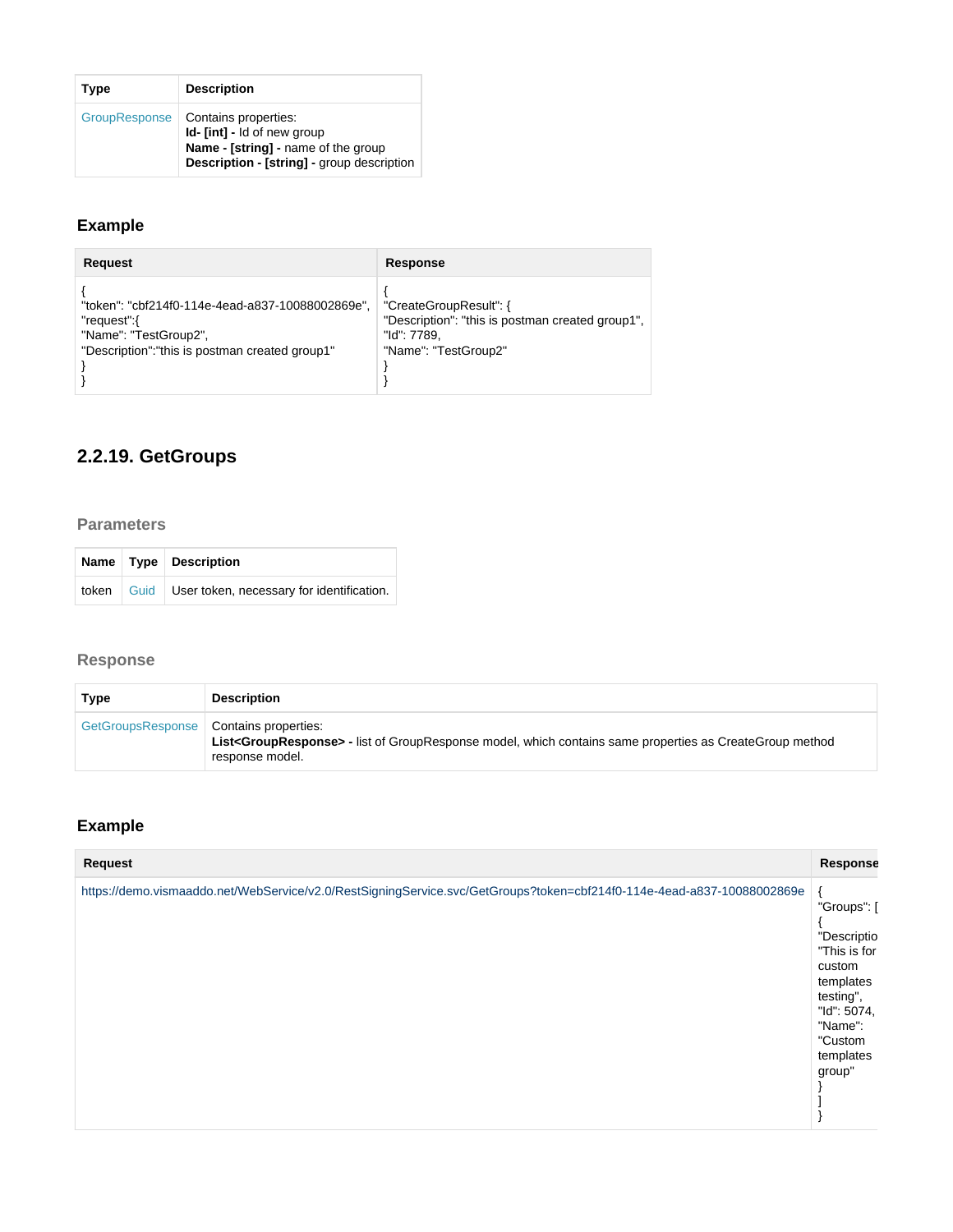| Type          | <b>Description</b>                                                                                                                              |
|---------------|-------------------------------------------------------------------------------------------------------------------------------------------------|
| GroupResponse | Contains properties:<br>Id- [int] - Id of new group<br>Name - [string] - name of the group<br><b>Description - [string] - group description</b> |

## <span id="page-26-0"></span>**Example**

| <b>Request</b>                                                                                                                              | Response                                                                                                          |
|---------------------------------------------------------------------------------------------------------------------------------------------|-------------------------------------------------------------------------------------------------------------------|
| "token": "cbf214f0-114e-4ead-a837-10088002869e",<br>"request" {<br>"Name": "TestGroup2",<br>"Description": "this is postman created group1" | "CreateGroupResult": {<br>"Description": "this is postman created group1",<br>"Id": 7789.<br>"Name": "TestGroup2" |

# <span id="page-26-1"></span>**2.2.19. GetGroups**

#### <span id="page-26-2"></span>**Parameters**

|  | Name   Type   Description                              |
|--|--------------------------------------------------------|
|  | token Guid   User token, necessary for identification. |

## <span id="page-26-3"></span>**Response**

| Type                                     | <b>Description</b>                                                                                                                           |
|------------------------------------------|----------------------------------------------------------------------------------------------------------------------------------------------|
| GetGroupsResponse   Contains properties: | List <groupresponse> - list of GroupResponse model, which contains same properties as CreateGroup method<br/>response model.</groupresponse> |

# <span id="page-26-4"></span>**Example**

<span id="page-26-5"></span>

| <b>Request</b>                                                                                                         | Response                                                                                                                                   |
|------------------------------------------------------------------------------------------------------------------------|--------------------------------------------------------------------------------------------------------------------------------------------|
| https://demo.vismaaddo.net/WebService/v2.0/RestSigningService.svc/GetGroups?token=cbf214f0-114e-4ead-a837-10088002869e | "Groups": [<br>"Descriptio<br>"This is for<br>custom<br>templates<br>testing",<br>"Id": 5074,<br>"Name":<br>"Custom<br>templates<br>group" |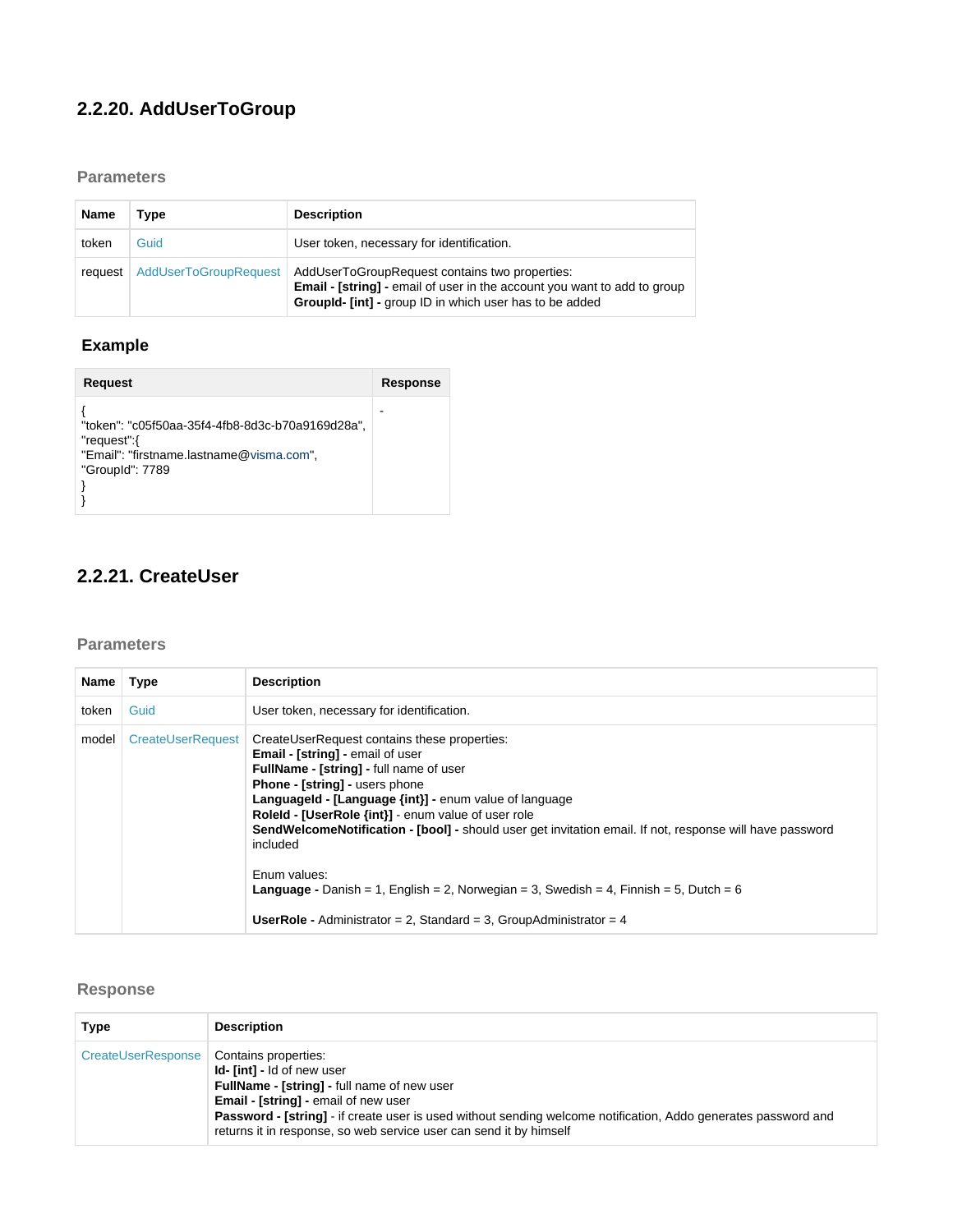## **2.2.20. AddUserToGroup**

### <span id="page-27-0"></span>**Parameters**

| <b>Name</b> | Type                         | <b>Description</b>                                                                                                                                                                    |
|-------------|------------------------------|---------------------------------------------------------------------------------------------------------------------------------------------------------------------------------------|
| token       | Guid                         | User token, necessary for identification.                                                                                                                                             |
| request     | <b>AddUserToGroupRequest</b> | AddUserToGroupRequest contains two properties:<br>Email - [string] - email of user in the account you want to add to group<br>Groupld- [int] - group ID in which user has to be added |

## <span id="page-27-1"></span> **Example**

| <b>Request</b>                                                                                                                 | Response |
|--------------------------------------------------------------------------------------------------------------------------------|----------|
| "token": "c05f50aa-35f4-4fb8-8d3c-b70a9169d28a",<br>"request":{<br>"Email": "firstname.lastname@visma.com",<br>"GroupId": 7789 |          |

## <span id="page-27-2"></span>**2.2.21. CreateUser**

### <span id="page-27-3"></span>**Parameters**

| Name  | <b>Type</b>              | <b>Description</b>                                                                                                                                                                                                                                                                                                                                                                                                                                                                                                                                                                                                                      |
|-------|--------------------------|-----------------------------------------------------------------------------------------------------------------------------------------------------------------------------------------------------------------------------------------------------------------------------------------------------------------------------------------------------------------------------------------------------------------------------------------------------------------------------------------------------------------------------------------------------------------------------------------------------------------------------------------|
| token | Guid                     | User token, necessary for identification.                                                                                                                                                                                                                                                                                                                                                                                                                                                                                                                                                                                               |
| model | <b>CreateUserRequest</b> | CreateUserRequest contains these properties:<br><b>Email - [string] - email of user</b><br><b>FullName - [string] - full name of user</b><br><b>Phone - [string] - users phone</b><br><b>Languageld - [Language {int}] - enum value of language</b><br>Roleld - [UserRole {int}] - enum value of user role<br><b>SendWelcomeNotification - [bool] -</b> should user get invitation email. If not, response will have password<br>included<br>Enum values:<br><b>Language</b> - Danish = 1, English = 2, Norwegian = 3, Swedish = 4, Finnish = 5, Dutch = 6<br><b>UserRole -</b> Administrator = 2, Standard = 3, GroupAdministrator = 4 |

## <span id="page-27-4"></span>**Response**

<span id="page-27-5"></span>

| Type               | <b>Description</b>                                                                                                                                                                                                                                                                                                                                     |
|--------------------|--------------------------------------------------------------------------------------------------------------------------------------------------------------------------------------------------------------------------------------------------------------------------------------------------------------------------------------------------------|
| CreateUserResponse | Contains properties:<br><b>Id-</b> [int] - Id of new user<br>FullName - [string] - full name of new user<br><b>Email - [string] - email of new user</b><br><b>Password - [string]</b> - if create user is used without sending welcome notification, Addo generates password and<br>returns it in response, so web service user can send it by himself |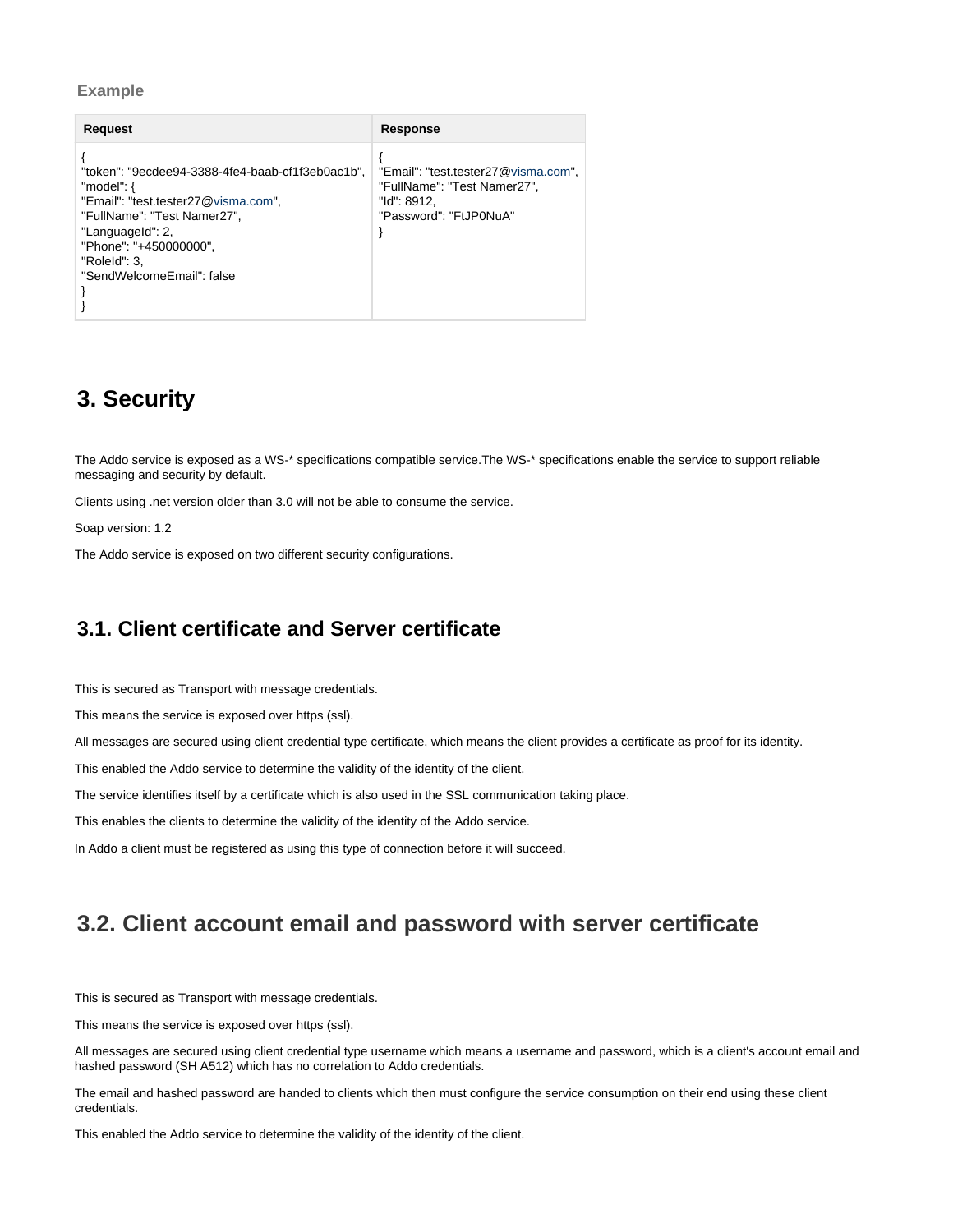#### **Example**

| Request                                                                                                                                                                                                                            | Response                                                                                                    |
|------------------------------------------------------------------------------------------------------------------------------------------------------------------------------------------------------------------------------------|-------------------------------------------------------------------------------------------------------------|
| "token": "9ecdee94-3388-4fe4-baab-cf1f3eb0ac1b".<br>"model": $\{$<br>"Email": "test.tester27@visma.com",<br>"FullName": "Test Namer27",<br>"Languageld": 2,<br>"Phone": "+450000000".<br>"RoleId": 3,<br>"SendWelcomeEmail": false | "Email": "test.tester27@visma.com",<br>"FullName": "Test Namer27",<br>"Id": 8912.<br>"Password": "FtJP0NuA" |

## <span id="page-28-0"></span>**3. Security**

The Addo service is exposed as a WS-\* specifications compatible service.The WS-\* specifications enable the service to support reliable messaging and security by default.

Clients using .net version older than 3.0 will not be able to consume the service.

Soap version: 1.2

The Addo service is exposed on two different security configurations.

## <span id="page-28-1"></span>**3.1. Client certificate and Server certificate**

This is secured as Transport with message credentials.

This means the service is exposed over https (ssl).

All messages are secured using client credential type certificate, which means the client provides a certificate as proof for its identity.

This enabled the Addo service to determine the validity of the identity of the client.

The service identifies itself by a certificate which is also used in the SSL communication taking place.

This enables the clients to determine the validity of the identity of the Addo service.

In Addo a client must be registered as using this type of connection before it will succeed.

## <span id="page-28-2"></span>**3.2. Client account email and password with server certificate**

This is secured as Transport with message credentials.

This means the service is exposed over https (ssl).

All messages are secured using client credential type username which means a username and password, which is a client's account email and hashed password (SH A512) which has no correlation to Addo credentials.

The email and hashed password are handed to clients which then must configure the service consumption on their end using these client credentials.

This enabled the Addo service to determine the validity of the identity of the client.